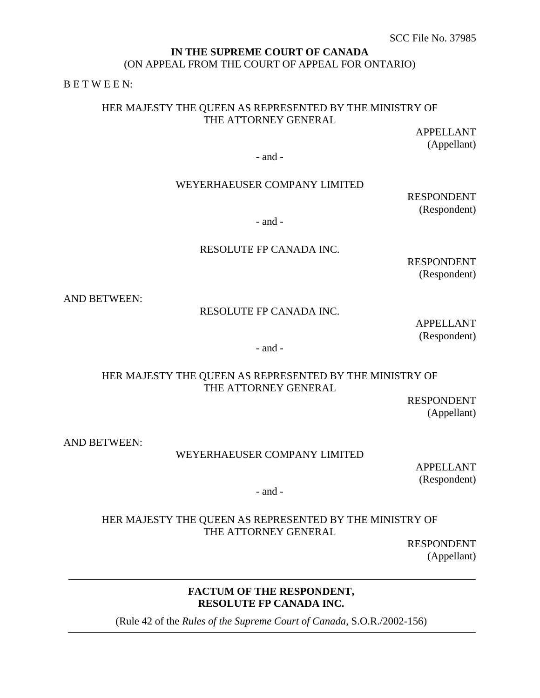## **IN THE SUPREME COURT OF CANADA**  (ON APPEAL FROM THE COURT OF APPEAL FOR ONTARIO)

B E T W E E N:

# HER MAJESTY THE QUEEN AS REPRESENTED BY THE MINISTRY OF THE ATTORNEY GENERAL

APPELLANT (Appellant)

- and -

## WEYERHAEUSER COMPANY LIMITED

RESPONDENT (Respondent)

- and -

## RESOLUTE FP CANADA INC.

RESPONDENT (Respondent)

AND BETWEEN:

## RESOLUTE FP CANADA INC.

APPELLANT (Respondent)

- and -

## HER MAJESTY THE QUEEN AS REPRESENTED BY THE MINISTRY OF THE ATTORNEY GENERAL

RESPONDENT (Appellant)

AND BETWEEN:

#### WEYERHAEUSER COMPANY LIMITED

APPELLANT (Respondent)

- and -

# HER MAJESTY THE QUEEN AS REPRESENTED BY THE MINISTRY OF THE ATTORNEY GENERAL

RESPONDENT (Appellant)

# **FACTUM OF THE RESPONDENT, RESOLUTE FP CANADA INC.**

(Rule 42 of the *Rules of the Supreme Court of Canada*, S.O.R./2002-156)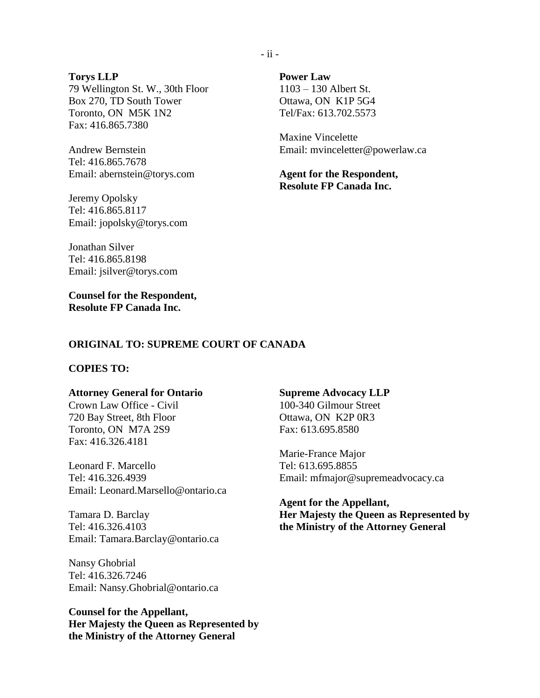## **Torys LLP** 79 Wellington St. W., 30th Floor Box 270, TD South Tower Toronto, ON M5K 1N2 Fax: 416.865.7380

Andrew Bernstein Tel: 416.865.7678 Email: abernstein@torys.com

Jeremy Opolsky Tel: 416.865.8117 Email: jopolsky@torys.com **Power Law**  1103 – 130 Albert St. Ottawa, ON K1P 5G4 Tel/Fax: 613.702.5573

Maxine Vincelette Email: mvinceletter@powerlaw.ca

**Agent for the Respondent, Resolute FP Canada Inc.**

Jonathan Silver Tel: 416.865.8198 Email: jsilver@torys.com

**Counsel for the Respondent, Resolute FP Canada Inc.** 

#### **ORIGINAL TO: SUPREME COURT OF CANADA**

## **COPIES TO:**

#### **Attorney General for Ontario**

Crown Law Office - Civil 720 Bay Street, 8th Floor Toronto, ON M7A 2S9 Fax: 416.326.4181

Leonard F. Marcello Tel: 416.326.4939 Email: Leonard.Marsello@ontario.ca

Tamara D. Barclay Tel: 416.326.4103 Email: Tamara.Barclay@ontario.ca

Nansy Ghobrial Tel: 416.326.7246 Email: Nansy.Ghobrial@ontario.ca

**Counsel for the Appellant, Her Majesty the Queen as Represented by the Ministry of the Attorney General**

#### **Supreme Advocacy LLP**

100-340 Gilmour Street Ottawa, ON K2P 0R3 Fax: 613.695.8580

Marie-France Major Tel: 613.695.8855 Email: mfmajor@supremeadvocacy.ca

**Agent for the Appellant, Her Majesty the Queen as Represented by the Ministry of the Attorney General**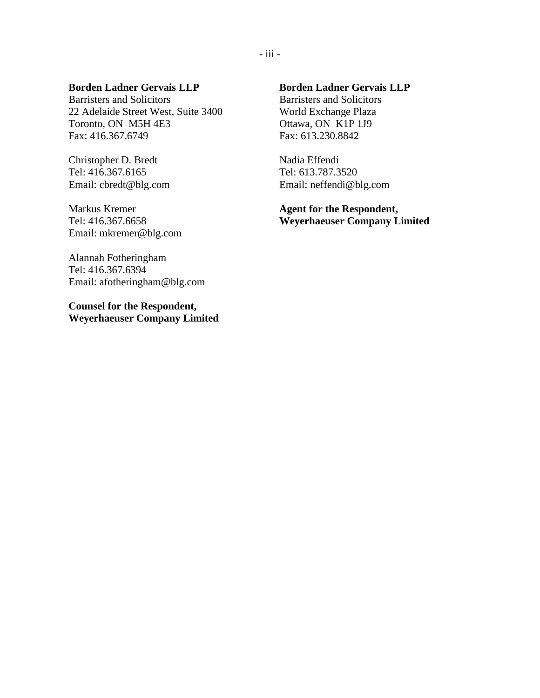### **Borden Ladner Gervais LLP**

Barristers and Solicitors 22 Adelaide Street West, Suite 3400 Toronto, ON M5H 4E3 Fax: 416.367.6749

Christopher D. Bredt Tel: 416.367.6165 Email: cbredt@blg.com

Markus Kremer Tel: 416.367.6658 Email: mkremer@blg.com

Alannah Fotheringham Tel: 416.367.6394 Email: afotheringham@blg.com

**Counsel for the Respondent, Weyerhaeuser Company Limited**

# **Borden Ladner Gervais LLP**

Barristers and Solicitors World Exchange Plaza Ottawa, ON K1P 1J9 Fax: 613.230.8842

Nadia Effendi Tel: 613.787.3520 Email: neffendi@blg.com

**Agent for the Respondent, Weyerhaeuser Company Limited**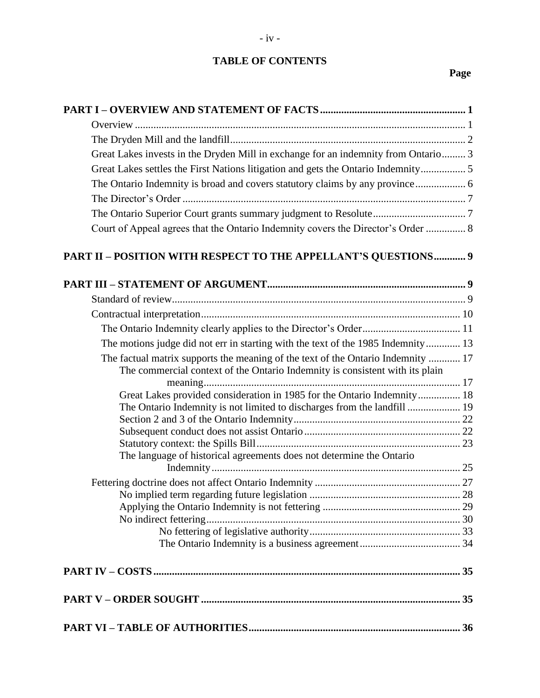# **TABLE OF CONTENTS**

# **Page**

| Great Lakes invests in the Dryden Mill in exchange for an indemnity from Ontario 3                                                                               |  |
|------------------------------------------------------------------------------------------------------------------------------------------------------------------|--|
| Great Lakes settles the First Nations litigation and gets the Ontario Indemnity 5                                                                                |  |
|                                                                                                                                                                  |  |
|                                                                                                                                                                  |  |
|                                                                                                                                                                  |  |
| Court of Appeal agrees that the Ontario Indemnity covers the Director's Order  8                                                                                 |  |
| PART II - POSITION WITH RESPECT TO THE APPELLANT'S QUESTIONS 9                                                                                                   |  |
|                                                                                                                                                                  |  |
|                                                                                                                                                                  |  |
|                                                                                                                                                                  |  |
|                                                                                                                                                                  |  |
| The motions judge did not err in starting with the text of the 1985 Indemnity 13                                                                                 |  |
| The factual matrix supports the meaning of the text of the Ontario Indemnity  17<br>The commercial context of the Ontario Indemnity is consistent with its plain |  |
|                                                                                                                                                                  |  |
| Great Lakes provided consideration in 1985 for the Ontario Indemnity 18                                                                                          |  |
| The Ontario Indemnity is not limited to discharges from the landfill  19                                                                                         |  |
|                                                                                                                                                                  |  |
|                                                                                                                                                                  |  |
| The language of historical agreements does not determine the Ontario                                                                                             |  |
|                                                                                                                                                                  |  |
|                                                                                                                                                                  |  |
|                                                                                                                                                                  |  |
|                                                                                                                                                                  |  |
|                                                                                                                                                                  |  |
|                                                                                                                                                                  |  |
|                                                                                                                                                                  |  |
|                                                                                                                                                                  |  |
|                                                                                                                                                                  |  |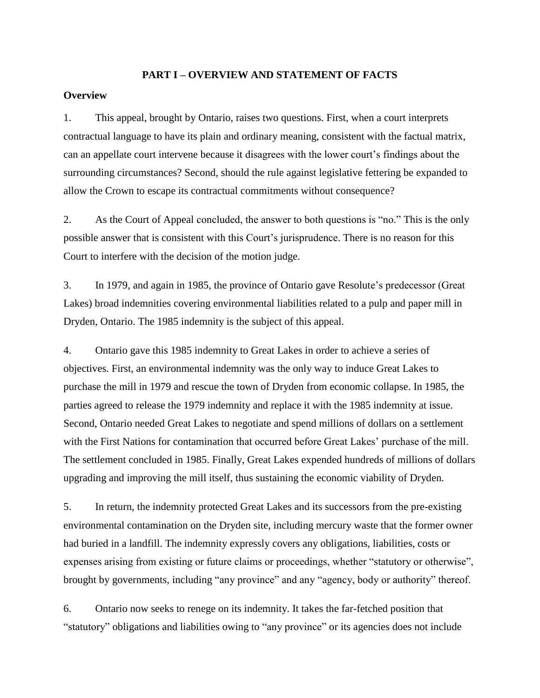#### **PART I – OVERVIEW AND STATEMENT OF FACTS**

## <span id="page-4-1"></span><span id="page-4-0"></span>**Overview**

1. This appeal, brought by Ontario, raises two questions. First, when a court interprets contractual language to have its plain and ordinary meaning, consistent with the factual matrix, can an appellate court intervene because it disagrees with the lower court's findings about the surrounding circumstances? Second, should the rule against legislative fettering be expanded to allow the Crown to escape its contractual commitments without consequence?

2. As the Court of Appeal concluded, the answer to both questions is "no." This is the only possible answer that is consistent with this Court's jurisprudence. There is no reason for this Court to interfere with the decision of the motion judge.

3. In 1979, and again in 1985, the province of Ontario gave Resolute's predecessor (Great Lakes) broad indemnities covering environmental liabilities related to a pulp and paper mill in Dryden, Ontario. The 1985 indemnity is the subject of this appeal.

4. Ontario gave this 1985 indemnity to Great Lakes in order to achieve a series of objectives. First, an environmental indemnity was the only way to induce Great Lakes to purchase the mill in 1979 and rescue the town of Dryden from economic collapse. In 1985, the parties agreed to release the 1979 indemnity and replace it with the 1985 indemnity at issue. Second, Ontario needed Great Lakes to negotiate and spend millions of dollars on a settlement with the First Nations for contamination that occurred before Great Lakes' purchase of the mill. The settlement concluded in 1985. Finally, Great Lakes expended hundreds of millions of dollars upgrading and improving the mill itself, thus sustaining the economic viability of Dryden.

5. In return, the indemnity protected Great Lakes and its successors from the pre-existing environmental contamination on the Dryden site, including mercury waste that the former owner had buried in a landfill. The indemnity expressly covers any obligations, liabilities, costs or expenses arising from existing or future claims or proceedings, whether "statutory or otherwise", brought by governments, including "any province" and any "agency, body or authority" thereof.

6. Ontario now seeks to renege on its indemnity. It takes the far-fetched position that "statutory" obligations and liabilities owing to "any province" or its agencies does not include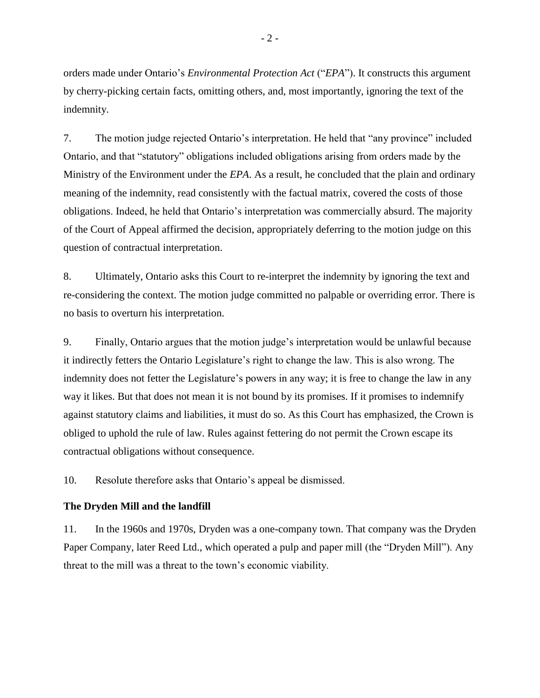orders made under Ontario's *Environmental Protection Act* ("*EPA*"). It constructs this argument by cherry-picking certain facts, omitting others, and, most importantly, ignoring the text of the indemnity.

7. The motion judge rejected Ontario's interpretation. He held that "any province" included Ontario, and that "statutory" obligations included obligations arising from orders made by the Ministry of the Environment under the *EPA*. As a result, he concluded that the plain and ordinary meaning of the indemnity, read consistently with the factual matrix, covered the costs of those obligations. Indeed, he held that Ontario's interpretation was commercially absurd. The majority of the Court of Appeal affirmed the decision, appropriately deferring to the motion judge on this question of contractual interpretation.

8. Ultimately, Ontario asks this Court to re-interpret the indemnity by ignoring the text and re-considering the context. The motion judge committed no palpable or overriding error. There is no basis to overturn his interpretation.

9. Finally, Ontario argues that the motion judge's interpretation would be unlawful because it indirectly fetters the Ontario Legislature's right to change the law. This is also wrong. The indemnity does not fetter the Legislature's powers in any way; it is free to change the law in any way it likes. But that does not mean it is not bound by its promises. If it promises to indemnify against statutory claims and liabilities, it must do so. As this Court has emphasized, the Crown is obliged to uphold the rule of law. Rules against fettering do not permit the Crown escape its contractual obligations without consequence.

10. Resolute therefore asks that Ontario's appeal be dismissed.

## <span id="page-5-0"></span>**The Dryden Mill and the landfill**

11. In the 1960s and 1970s, Dryden was a one-company town. That company was the Dryden Paper Company, later Reed Ltd., which operated a pulp and paper mill (the "Dryden Mill"). Any threat to the mill was a threat to the town's economic viability.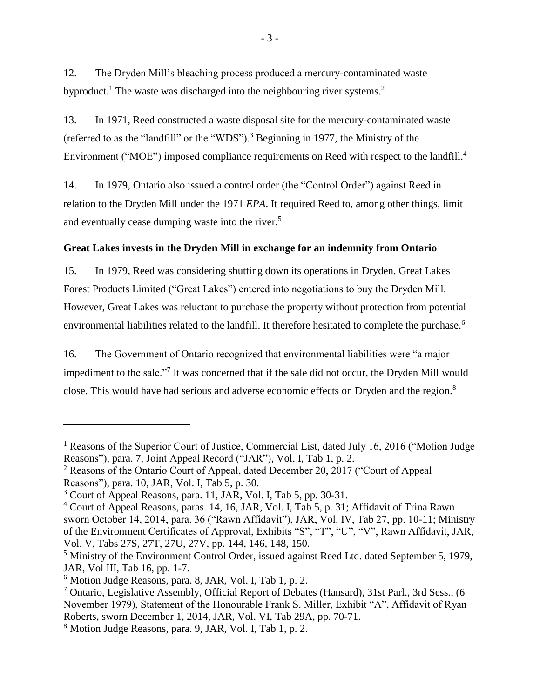12. The Dryden Mill's bleaching process produced a mercury-contaminated waste byproduct.<sup>1</sup> The waste was discharged into the neighbouring river systems.<sup>2</sup>

13. In 1971, Reed constructed a waste disposal site for the mercury-contaminated waste (referred to as the "landfill" or the "WDS").<sup>3</sup> Beginning in 1977, the Ministry of the Environment ("MOE") imposed compliance requirements on Reed with respect to the landfill.<sup>4</sup>

14. In 1979, Ontario also issued a control order (the "Control Order") against Reed in relation to the Dryden Mill under the 1971 *EPA*. It required Reed to, among other things, limit and eventually cease dumping waste into the river.<sup>5</sup>

# <span id="page-6-0"></span>**Great Lakes invests in the Dryden Mill in exchange for an indemnity from Ontario**

15. In 1979, Reed was considering shutting down its operations in Dryden. Great Lakes Forest Products Limited ("Great Lakes") entered into negotiations to buy the Dryden Mill. However, Great Lakes was reluctant to purchase the property without protection from potential environmental liabilities related to the landfill. It therefore hesitated to complete the purchase.<sup>6</sup>

16. The Government of Ontario recognized that environmental liabilities were "a major impediment to the sale."<sup>7</sup> It was concerned that if the sale did not occur, the Dryden Mill would close. This would have had serious and adverse economic effects on Dryden and the region.<sup>8</sup>

<sup>&</sup>lt;sup>1</sup> Reasons of the Superior Court of Justice, Commercial List, dated July 16, 2016 ("Motion Judge" Reasons"), para. 7, Joint Appeal Record ("JAR"), Vol. I, Tab 1, p. 2.

 $2$  Reasons of the Ontario Court of Appeal, dated December 20, 2017 ("Court of Appeal" Reasons"), para. 10, JAR, Vol. I, Tab 5, p. 30.

<sup>3</sup> Court of Appeal Reasons, para. 11, JAR, Vol. I, Tab 5, pp. 30-31.

<sup>4</sup> Court of Appeal Reasons, paras. 14, 16, JAR, Vol. I, Tab 5, p. 31; Affidavit of Trina Rawn sworn October 14, 2014, para. 36 ("Rawn Affidavit"), JAR, Vol. IV, Tab 27, pp. 10-11; Ministry of the Environment Certificates of Approval, Exhibits "S", "T", "U", "V", Rawn Affidavit, JAR, Vol. V, Tabs 27S, 27T, 27U, 27V, pp. 144, 146, 148, 150.

<sup>&</sup>lt;sup>5</sup> Ministry of the Environment Control Order, issued against Reed Ltd. dated September 5, 1979, JAR, Vol III, Tab 16, pp. 1-7.

 $6$  Motion Judge Reasons, para. 8, JAR, Vol. I, Tab 1, p. 2.

<sup>&</sup>lt;sup>7</sup> Ontario, Legislative Assembly, Official Report of Debates (Hansard), 31st Parl., 3rd Sess., (6 November 1979), Statement of the Honourable Frank S. Miller, Exhibit "A", Affidavit of Ryan Roberts, sworn December 1, 2014, JAR, Vol. VI, Tab 29A, pp. 70-71.

<sup>8</sup> Motion Judge Reasons, para. 9, JAR, Vol. I, Tab 1, p. 2.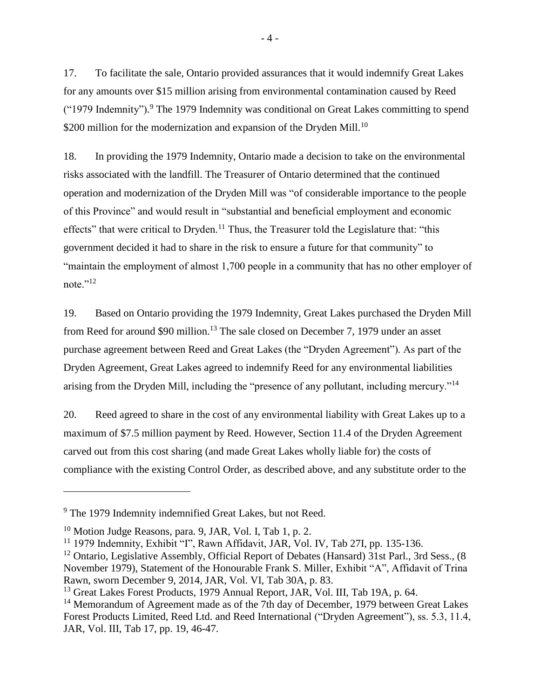17. To facilitate the sale, Ontario provided assurances that it would indemnify Great Lakes for any amounts over \$15 million arising from environmental contamination caused by Reed ("1979 Indemnity"). <sup>9</sup> The 1979 Indemnity was conditional on Great Lakes committing to spend \$200 million for the modernization and expansion of the Dryden Mill.<sup>10</sup>

18. In providing the 1979 Indemnity, Ontario made a decision to take on the environmental risks associated with the landfill. The Treasurer of Ontario determined that the continued operation and modernization of the Dryden Mill was "of considerable importance to the people of this Province" and would result in "substantial and beneficial employment and economic effects" that were critical to Dryden.<sup>11</sup> Thus, the Treasurer told the Legislature that: "this government decided it had to share in the risk to ensure a future for that community" to "maintain the employment of almost 1,700 people in a community that has no other employer of note."<sup>12</sup>

19. Based on Ontario providing the 1979 Indemnity, Great Lakes purchased the Dryden Mill from Reed for around \$90 million.<sup>13</sup> The sale closed on December 7, 1979 under an asset purchase agreement between Reed and Great Lakes (the "Dryden Agreement"). As part of the Dryden Agreement, Great Lakes agreed to indemnify Reed for any environmental liabilities arising from the Dryden Mill, including the "presence of any pollutant, including mercury."<sup>14</sup>

20. Reed agreed to share in the cost of any environmental liability with Great Lakes up to a maximum of \$7.5 million payment by Reed. However, Section 11.4 of the Dryden Agreement carved out from this cost sharing (and made Great Lakes wholly liable for) the costs of compliance with the existing Control Order, as described above, and any substitute order to the

<sup>&</sup>lt;sup>9</sup> The 1979 Indemnity indemnified Great Lakes, but not Reed.

<sup>10</sup> Motion Judge Reasons, para. 9, JAR, Vol. I, Tab 1, p. 2.

<sup>&</sup>lt;sup>11</sup> 1979 Indemnity, Exhibit "I", Rawn Affidavit, JAR, Vol. IV, Tab 27I, pp. 135-136.

<sup>&</sup>lt;sup>12</sup> Ontario, Legislative Assembly, Official Report of Debates (Hansard) 31st Parl., 3rd Sess., (8 November 1979), Statement of the Honourable Frank S. Miller, Exhibit "A", Affidavit of Trina Rawn, sworn December 9, 2014, JAR, Vol. VI, Tab 30A, p. 83.

<sup>&</sup>lt;sup>13</sup> Great Lakes Forest Products, 1979 Annual Report, JAR, Vol. III, Tab 19A, p. 64.

<sup>&</sup>lt;sup>14</sup> Memorandum of Agreement made as of the 7th day of December, 1979 between Great Lakes Forest Products Limited, Reed Ltd. and Reed International ("Dryden Agreement"), ss. 5.3, 11.4, JAR, Vol. III, Tab 17, pp. 19, 46-47.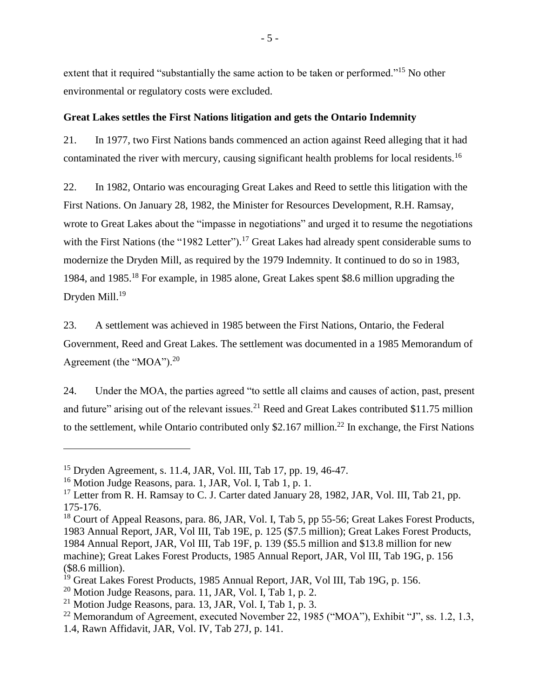extent that it required "substantially the same action to be taken or performed."<sup>15</sup> No other environmental or regulatory costs were excluded.

## <span id="page-8-0"></span>**Great Lakes settles the First Nations litigation and gets the Ontario Indemnity**

21. In 1977, two First Nations bands commenced an action against Reed alleging that it had contaminated the river with mercury, causing significant health problems for local residents.<sup>16</sup>

22. In 1982, Ontario was encouraging Great Lakes and Reed to settle this litigation with the First Nations. On January 28, 1982, the Minister for Resources Development, R.H. Ramsay, wrote to Great Lakes about the "impasse in negotiations" and urged it to resume the negotiations with the First Nations (the "1982 Letter").<sup>17</sup> Great Lakes had already spent considerable sums to modernize the Dryden Mill, as required by the 1979 Indemnity. It continued to do so in 1983, 1984, and 1985. <sup>18</sup> For example, in 1985 alone, Great Lakes spent \$8.6 million upgrading the Dryden Mill.<sup>19</sup>

23. A settlement was achieved in 1985 between the First Nations, Ontario, the Federal Government, Reed and Great Lakes. The settlement was documented in a 1985 Memorandum of Agreement (the "MOA").<sup>20</sup>

24. Under the MOA, the parties agreed "to settle all claims and causes of action, past, present and future" arising out of the relevant issues.<sup>21</sup> Reed and Great Lakes contributed \$11.75 million to the settlement, while Ontario contributed only \$2.167 million.<sup>22</sup> In exchange, the First Nations

<sup>15</sup> Dryden Agreement, s. 11.4, JAR, Vol. III, Tab 17, pp. 19, 46-47.

<sup>&</sup>lt;sup>16</sup> Motion Judge Reasons, para. 1, JAR, Vol. I, Tab 1, p. 1.

<sup>&</sup>lt;sup>17</sup> Letter from R. H. Ramsay to C. J. Carter dated January 28, 1982, JAR, Vol. III, Tab 21, pp. 175-176.

<sup>&</sup>lt;sup>18</sup> Court of Appeal Reasons, para. 86, JAR, Vol. I, Tab 5, pp 55-56; Great Lakes Forest Products, 1983 Annual Report, JAR, Vol III, Tab 19E, p. 125 (\$7.5 million); Great Lakes Forest Products, 1984 Annual Report, JAR, Vol III, Tab 19F, p. 139 (\$5.5 million and \$13.8 million for new machine); Great Lakes Forest Products, 1985 Annual Report, JAR, Vol III, Tab 19G, p. 156 (\$8.6 million).

<sup>&</sup>lt;sup>19</sup> Great Lakes Forest Products, 1985 Annual Report, JAR, Vol III, Tab 19G, p. 156.

 $20$  Motion Judge Reasons, para. 11, JAR, Vol. I, Tab 1, p. 2.

 $^{21}$  Motion Judge Reasons, para. 13, JAR, Vol. I, Tab 1, p. 3.

<sup>&</sup>lt;sup>22</sup> Memorandum of Agreement, executed November 22, 1985 ("MOA"), Exhibit "J", ss. 1.2, 1.3,

<sup>1.4,</sup> Rawn Affidavit, JAR, Vol. IV, Tab 27J, p. 141.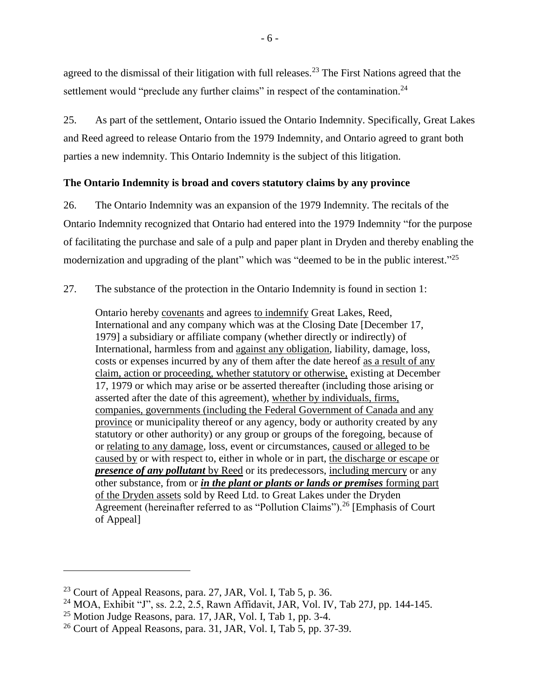agreed to the dismissal of their litigation with full releases.<sup>23</sup> The First Nations agreed that the settlement would "preclude any further claims" in respect of the contamination.<sup>24</sup>

25. As part of the settlement, Ontario issued the Ontario Indemnity. Specifically, Great Lakes and Reed agreed to release Ontario from the 1979 Indemnity, and Ontario agreed to grant both parties a new indemnity. This Ontario Indemnity is the subject of this litigation.

### <span id="page-9-0"></span>**The Ontario Indemnity is broad and covers statutory claims by any province**

26. The Ontario Indemnity was an expansion of the 1979 Indemnity. The recitals of the Ontario Indemnity recognized that Ontario had entered into the 1979 Indemnity "for the purpose of facilitating the purchase and sale of a pulp and paper plant in Dryden and thereby enabling the modernization and upgrading of the plant" which was "deemed to be in the public interest."<sup>25</sup>

27. The substance of the protection in the Ontario Indemnity is found in section 1:

Ontario hereby covenants and agrees to indemnify Great Lakes, Reed, International and any company which was at the Closing Date [December 17, 1979] a subsidiary or affiliate company (whether directly or indirectly) of International, harmless from and against any obligation, liability, damage, loss, costs or expenses incurred by any of them after the date hereof as a result of any claim, action or proceeding, whether statutory or otherwise, existing at December 17, 1979 or which may arise or be asserted thereafter (including those arising or asserted after the date of this agreement), whether by individuals, firms, companies, governments (including the Federal Government of Canada and any province or municipality thereof or any agency, body or authority created by any statutory or other authority) or any group or groups of the foregoing, because of or relating to any damage, loss, event or circumstances, caused or alleged to be caused by or with respect to, either in whole or in part, the discharge or escape or *presence of any pollutant* by Reed or its predecessors, including mercury or any other substance, from or *in the plant or plants or lands or premises* forming part of the Dryden assets sold by Reed Ltd. to Great Lakes under the Dryden Agreement (hereinafter referred to as "Pollution Claims").<sup>26</sup> [Emphasis of Court] of Appeal]

 $^{23}$  Court of Appeal Reasons, para. 27, JAR, Vol. I, Tab 5, p. 36.

<sup>&</sup>lt;sup>24</sup> MOA, Exhibit "J", ss. 2.2, 2.5, Rawn Affidavit, JAR, Vol. IV, Tab 27J, pp. 144-145.

 $25$  Motion Judge Reasons, para. 17, JAR, Vol. I, Tab 1, pp. 3-4.

 $26$  Court of Appeal Reasons, para. 31, JAR, Vol. I, Tab 5, pp. 37-39.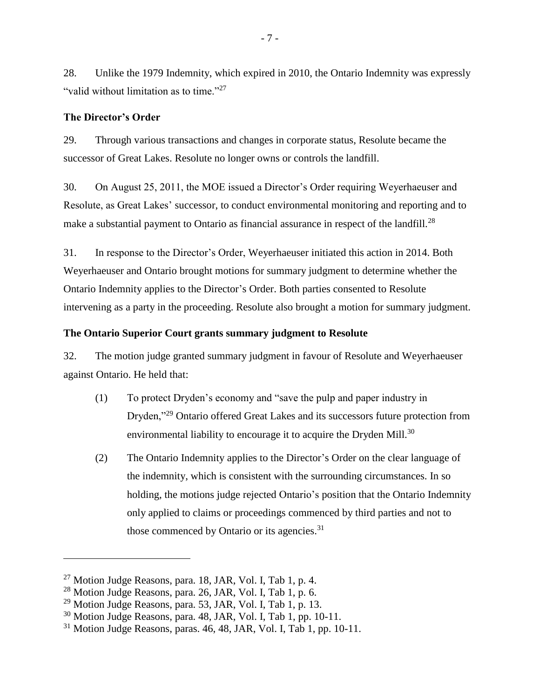28. Unlike the 1979 Indemnity, which expired in 2010, the Ontario Indemnity was expressly "valid without limitation as to time."<sup>27</sup>

### <span id="page-10-0"></span>**The Director's Order**

29. Through various transactions and changes in corporate status, Resolute became the successor of Great Lakes. Resolute no longer owns or controls the landfill.

30. On August 25, 2011, the MOE issued a Director's Order requiring Weyerhaeuser and Resolute, as Great Lakes' successor, to conduct environmental monitoring and reporting and to make a substantial payment to Ontario as financial assurance in respect of the landfill.<sup>28</sup>

31. In response to the Director's Order, Weyerhaeuser initiated this action in 2014. Both Weyerhaeuser and Ontario brought motions for summary judgment to determine whether the Ontario Indemnity applies to the Director's Order. Both parties consented to Resolute intervening as a party in the proceeding. Resolute also brought a motion for summary judgment.

#### <span id="page-10-1"></span>**The Ontario Superior Court grants summary judgment to Resolute**

32. The motion judge granted summary judgment in favour of Resolute and Weyerhaeuser against Ontario. He held that:

- (1) To protect Dryden's economy and "save the pulp and paper industry in Dryden,"<sup>29</sup> Ontario offered Great Lakes and its successors future protection from environmental liability to encourage it to acquire the Dryden Mill.<sup>30</sup>
- (2) The Ontario Indemnity applies to the Director's Order on the clear language of the indemnity, which is consistent with the surrounding circumstances. In so holding, the motions judge rejected Ontario's position that the Ontario Indemnity only applied to claims or proceedings commenced by third parties and not to those commenced by Ontario or its agencies.<sup>31</sup>

 $27$  Motion Judge Reasons, para. 18, JAR, Vol. I, Tab 1, p. 4.

<sup>28</sup> Motion Judge Reasons, para. 26, JAR, Vol. I, Tab 1, p. 6.

 $^{29}$  Motion Judge Reasons, para. 53, JAR, Vol. I, Tab 1, p. 13.

<sup>30</sup> Motion Judge Reasons, para. 48, JAR, Vol. I, Tab 1, pp. 10-11.

 $31$  Motion Judge Reasons, paras. 46, 48, JAR, Vol. I, Tab 1, pp. 10-11.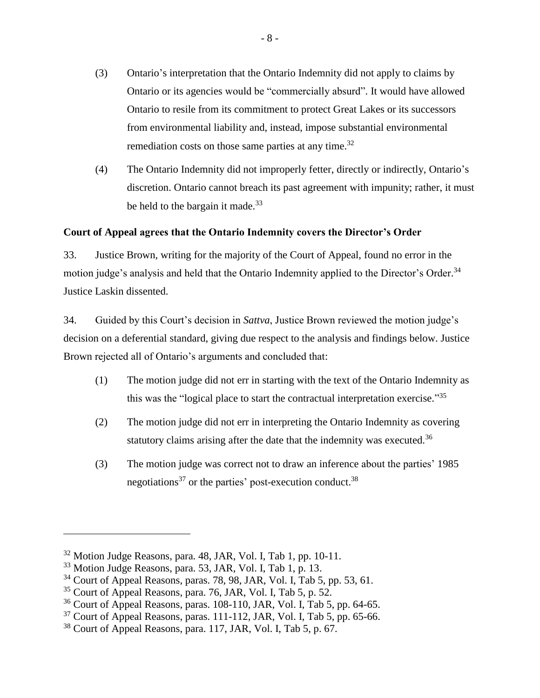- (3) Ontario's interpretation that the Ontario Indemnity did not apply to claims by Ontario or its agencies would be "commercially absurd". It would have allowed Ontario to resile from its commitment to protect Great Lakes or its successors from environmental liability and, instead, impose substantial environmental remediation costs on those same parties at any time.<sup>32</sup>
- (4) The Ontario Indemnity did not improperly fetter, directly or indirectly, Ontario's discretion. Ontario cannot breach its past agreement with impunity; rather, it must be held to the bargain it made. $^{33}$

# <span id="page-11-0"></span>**Court of Appeal agrees that the Ontario Indemnity covers the Director's Order**

33. Justice Brown, writing for the majority of the Court of Appeal, found no error in the motion judge's analysis and held that the Ontario Indemnity applied to the Director's Order.<sup>34</sup> Justice Laskin dissented.

34. Guided by this Court's decision in *Sattva*, Justice Brown reviewed the motion judge's decision on a deferential standard, giving due respect to the analysis and findings below. Justice Brown rejected all of Ontario's arguments and concluded that:

- (1) The motion judge did not err in starting with the text of the Ontario Indemnity as this was the "logical place to start the contractual interpretation exercise."<sup>35</sup>
- (2) The motion judge did not err in interpreting the Ontario Indemnity as covering statutory claims arising after the date that the indemnity was executed.<sup>36</sup>
- (3) The motion judge was correct not to draw an inference about the parties' 1985 negotiations<sup>37</sup> or the parties' post-execution conduct.<sup>38</sup>

<sup>32</sup> Motion Judge Reasons, para. 48, JAR, Vol. I, Tab 1, pp. 10-11.

<sup>33</sup> Motion Judge Reasons, para. 53, JAR, Vol. I, Tab 1, p. 13.

 $34$  Court of Appeal Reasons, paras. 78, 98, JAR, Vol. I, Tab 5, pp. 53, 61.

 $35$  Court of Appeal Reasons, para. 76, JAR, Vol. I, Tab 5, p. 52.

 $36$  Court of Appeal Reasons, paras. 108-110, JAR, Vol. I, Tab 5, pp. 64-65.

 $37$  Court of Appeal Reasons, paras. 111-112, JAR, Vol. I, Tab 5, pp. 65-66.

<sup>38</sup> Court of Appeal Reasons, para. 117, JAR, Vol. I, Tab 5, p. 67.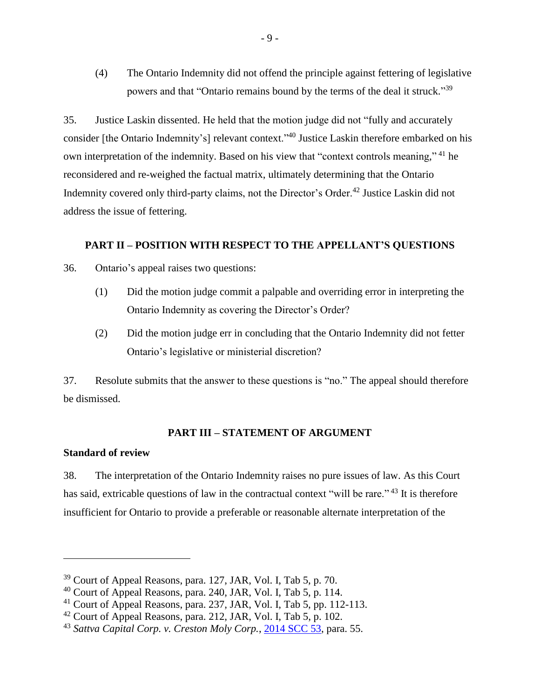(4) The Ontario Indemnity did not offend the principle against fettering of legislative powers and that "Ontario remains bound by the terms of the deal it struck."<sup>39</sup>

35. Justice Laskin dissented. He held that the motion judge did not "fully and accurately consider [the Ontario Indemnity's] relevant context."<sup>40</sup> Justice Laskin therefore embarked on his own interpretation of the indemnity. Based on his view that "context controls meaning,"<sup>41</sup> he reconsidered and re-weighed the factual matrix, ultimately determining that the Ontario Indemnity covered only third-party claims, not the Director's Order.<sup>42</sup> Justice Laskin did not address the issue of fettering.

#### <span id="page-12-0"></span>**PART II – POSITION WITH RESPECT TO THE APPELLANT'S QUESTIONS**

36. Ontario's appeal raises two questions:

- (1) Did the motion judge commit a palpable and overriding error in interpreting the Ontario Indemnity as covering the Director's Order?
- (2) Did the motion judge err in concluding that the Ontario Indemnity did not fetter Ontario's legislative or ministerial discretion?

37. Resolute submits that the answer to these questions is "no." The appeal should therefore be dismissed.

## **PART III – STATEMENT OF ARGUMENT**

## <span id="page-12-2"></span><span id="page-12-1"></span>**Standard of review**

 $\overline{a}$ 

38. The interpretation of the Ontario Indemnity raises no pure issues of law. As this Court has said, extricable questions of law in the contractual context "will be rare."<sup>43</sup> It is therefore insufficient for Ontario to provide a preferable or reasonable alternate interpretation of the

<sup>39</sup> Court of Appeal Reasons, para. 127, JAR, Vol. I, Tab 5, p. 70.

 $40$  Court of Appeal Reasons, para. 240, JAR, Vol. I, Tab 5, p. 114.

<sup>41</sup> Court of Appeal Reasons, para. 237, JAR, Vol. I, Tab 5, pp. 112-113.

 $42$  Court of Appeal Reasons, para. 212, JAR, Vol. I, Tab 5, p. 102.

<sup>43</sup> *Sattva Capital Corp. v. Creston Moly Corp.*, [2014 SCC 53,](https://www.canlii.org/en/ca/scc/doc/2014/2014scc53/2014scc53.html) para. 55.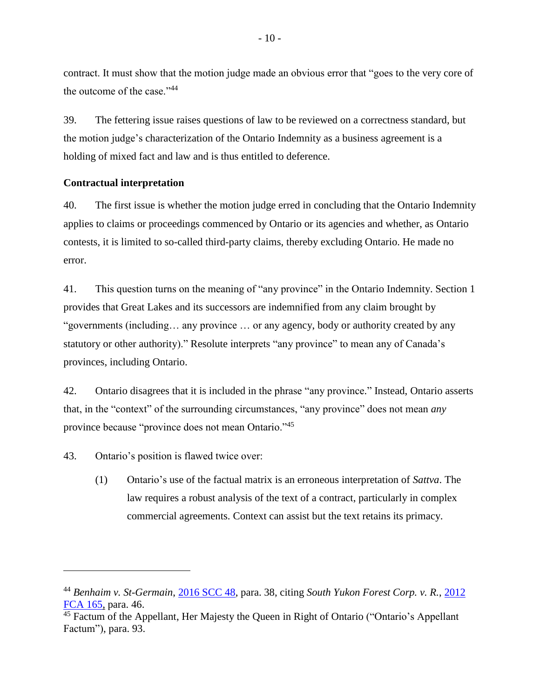contract. It must show that the motion judge made an obvious error that "goes to the very core of the outcome of the case."<sup>44</sup>

39. The fettering issue raises questions of law to be reviewed on a correctness standard, but the motion judge's characterization of the Ontario Indemnity as a business agreement is a holding of mixed fact and law and is thus entitled to deference.

#### <span id="page-13-0"></span>**Contractual interpretation**

40. The first issue is whether the motion judge erred in concluding that the Ontario Indemnity applies to claims or proceedings commenced by Ontario or its agencies and whether, as Ontario contests, it is limited to so-called third-party claims, thereby excluding Ontario. He made no error.

41. This question turns on the meaning of "any province" in the Ontario Indemnity. Section 1 provides that Great Lakes and its successors are indemnified from any claim brought by "governments (including… any province … or any agency, body or authority created by any statutory or other authority)." Resolute interprets "any province" to mean any of Canada's provinces, including Ontario.

42. Ontario disagrees that it is included in the phrase "any province." Instead, Ontario asserts that, in the "context" of the surrounding circumstances, "any province" does not mean *any*  province because "province does not mean Ontario."<sup>45</sup>

43. Ontario's position is flawed twice over:

 $\overline{a}$ 

(1) Ontario's use of the factual matrix is an erroneous interpretation of *Sattva*. The law requires a robust analysis of the text of a contract, particularly in complex commercial agreements. Context can assist but the text retains its primacy.

<sup>44</sup> *Benhaim v. St-Germain*, [2016 SCC 48,](https://www.canlii.org/en/ca/scc/doc/2016/2016scc48/2016scc48.html?autocompleteStr=benhaim&autocompletePos=1) para. 38, citing *South Yukon Forest Corp. v. R.*, [2012](https://www.canlii.org/en/ca/fca/doc/2012/2012fca165/2012fca165.html?resultIndex=1)  [FCA 165,](https://www.canlii.org/en/ca/fca/doc/2012/2012fca165/2012fca165.html?resultIndex=1) para. 46.

 $\frac{45}{45}$  Factum of the Appellant, Her Majesty the Queen in Right of Ontario ("Ontario's Appellant Factum"), para. 93.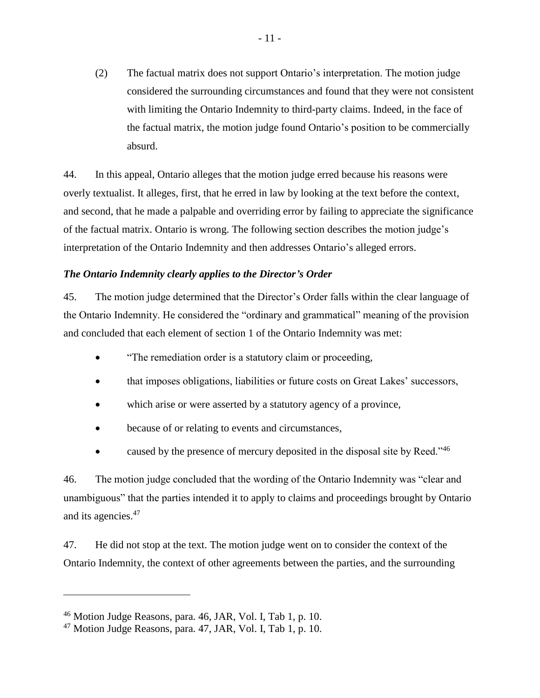(2) The factual matrix does not support Ontario's interpretation. The motion judge considered the surrounding circumstances and found that they were not consistent with limiting the Ontario Indemnity to third-party claims. Indeed, in the face of the factual matrix, the motion judge found Ontario's position to be commercially absurd.

44. In this appeal, Ontario alleges that the motion judge erred because his reasons were overly textualist. It alleges, first, that he erred in law by looking at the text before the context, and second, that he made a palpable and overriding error by failing to appreciate the significance of the factual matrix. Ontario is wrong. The following section describes the motion judge's interpretation of the Ontario Indemnity and then addresses Ontario's alleged errors.

## <span id="page-14-0"></span>*The Ontario Indemnity clearly applies to the Director's Order*

45. The motion judge determined that the Director's Order falls within the clear language of the Ontario Indemnity. He considered the "ordinary and grammatical" meaning of the provision and concluded that each element of section 1 of the Ontario Indemnity was met:

- "The remediation order is a statutory claim or proceeding,
- that imposes obligations, liabilities or future costs on Great Lakes' successors,
- which arise or were asserted by a statutory agency of a province,
- because of or relating to events and circumstances,
- caused by the presence of mercury deposited in the disposal site by Reed." $46$

46. The motion judge concluded that the wording of the Ontario Indemnity was "clear and unambiguous" that the parties intended it to apply to claims and proceedings brought by Ontario and its agencies.<sup>47</sup>

47. He did not stop at the text. The motion judge went on to consider the context of the Ontario Indemnity, the context of other agreements between the parties, and the surrounding

<sup>46</sup> Motion Judge Reasons, para. 46, JAR, Vol. I, Tab 1, p. 10.

<sup>&</sup>lt;sup>47</sup> Motion Judge Reasons, para. 47, JAR, Vol. I, Tab 1, p. 10.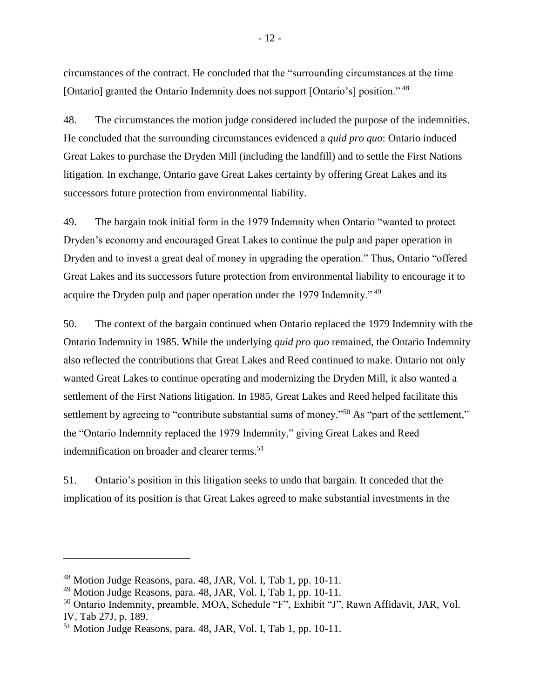circumstances of the contract. He concluded that the "surrounding circumstances at the time [Ontario] granted the Ontario Indemnity does not support [Ontario's] position." <sup>48</sup>

48. The circumstances the motion judge considered included the purpose of the indemnities. He concluded that the surrounding circumstances evidenced a *quid pro quo*: Ontario induced Great Lakes to purchase the Dryden Mill (including the landfill) and to settle the First Nations litigation. In exchange, Ontario gave Great Lakes certainty by offering Great Lakes and its successors future protection from environmental liability.

49. The bargain took initial form in the 1979 Indemnity when Ontario "wanted to protect Dryden's economy and encouraged Great Lakes to continue the pulp and paper operation in Dryden and to invest a great deal of money in upgrading the operation." Thus, Ontario "offered Great Lakes and its successors future protection from environmental liability to encourage it to acquire the Dryden pulp and paper operation under the 1979 Indemnity." <sup>49</sup>

50. The context of the bargain continued when Ontario replaced the 1979 Indemnity with the Ontario Indemnity in 1985. While the underlying *quid pro quo* remained, the Ontario Indemnity also reflected the contributions that Great Lakes and Reed continued to make. Ontario not only wanted Great Lakes to continue operating and modernizing the Dryden Mill, it also wanted a settlement of the First Nations litigation. In 1985, Great Lakes and Reed helped facilitate this settlement by agreeing to "contribute substantial sums of money."<sup>50</sup> As "part of the settlement," the "Ontario Indemnity replaced the 1979 Indemnity," giving Great Lakes and Reed indemnification on broader and clearer terms.<sup>51</sup>

51. Ontario's position in this litigation seeks to undo that bargain. It conceded that the implication of its position is that Great Lakes agreed to make substantial investments in the

<sup>48</sup> Motion Judge Reasons, para. 48, JAR, Vol. I, Tab 1, pp. 10-11.

<sup>49</sup> Motion Judge Reasons, para. 48, JAR, Vol. I, Tab 1, pp. 10-11.

<sup>50</sup> Ontario Indemnity, preamble, MOA, Schedule "F", Exhibit "J", Rawn Affidavit, JAR, Vol. IV, Tab 27J, p. 189.

<sup>51</sup> Motion Judge Reasons, para. 48, JAR, Vol. I, Tab 1, pp. 10-11.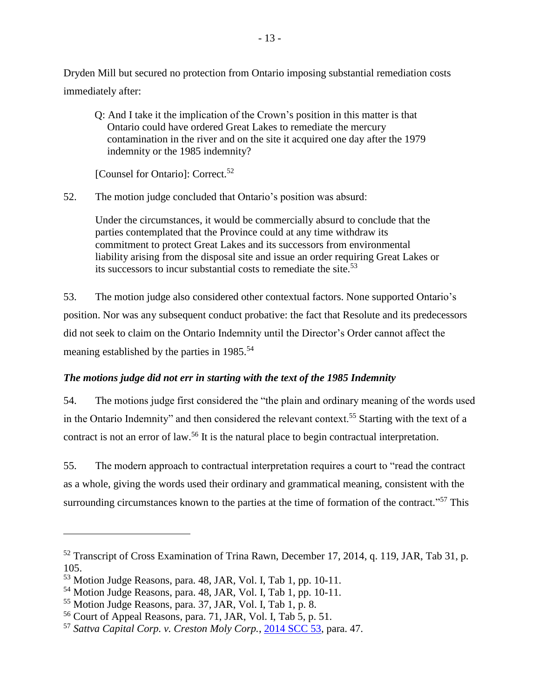Dryden Mill but secured no protection from Ontario imposing substantial remediation costs immediately after:

Q: And I take it the implication of the Crown's position in this matter is that Ontario could have ordered Great Lakes to remediate the mercury contamination in the river and on the site it acquired one day after the 1979 indemnity or the 1985 indemnity?

[Counsel for Ontario]: Correct.<sup>52</sup>

52. The motion judge concluded that Ontario's position was absurd:

Under the circumstances, it would be commercially absurd to conclude that the parties contemplated that the Province could at any time withdraw its commitment to protect Great Lakes and its successors from environmental liability arising from the disposal site and issue an order requiring Great Lakes or its successors to incur substantial costs to remediate the site.<sup>53</sup>

53. The motion judge also considered other contextual factors. None supported Ontario's position. Nor was any subsequent conduct probative: the fact that Resolute and its predecessors did not seek to claim on the Ontario Indemnity until the Director's Order cannot affect the meaning established by the parties in 1985.<sup>54</sup>

# <span id="page-16-0"></span>*The motions judge did not err in starting with the text of the 1985 Indemnity*

54. The motions judge first considered the "the plain and ordinary meaning of the words used in the Ontario Indemnity" and then considered the relevant context.<sup>55</sup> Starting with the text of a contract is not an error of law.<sup>56</sup> It is the natural place to begin contractual interpretation.

55. The modern approach to contractual interpretation requires a court to "read the contract as a whole, giving the words used their ordinary and grammatical meaning, consistent with the surrounding circumstances known to the parties at the time of formation of the contract."<sup>57</sup> This

<sup>&</sup>lt;sup>52</sup> Transcript of Cross Examination of Trina Rawn, December 17, 2014, q. 119, JAR, Tab 31, p. 105.

<sup>53</sup> Motion Judge Reasons, para. 48, JAR, Vol. I, Tab 1, pp. 10-11.

<sup>54</sup> Motion Judge Reasons, para. 48, JAR, Vol. I, Tab 1, pp. 10-11.

<sup>55</sup> Motion Judge Reasons, para. 37, JAR, Vol. I, Tab 1, p. 8.

<sup>56</sup> Court of Appeal Reasons, para. 71, JAR, Vol. I, Tab 5, p. 51.

<sup>57</sup> *Sattva Capital Corp. v. Creston Moly Corp.*, [2014 SCC 53,](https://www.canlii.org/en/ca/scc/doc/2014/2014scc53/2014scc53.html) para. 47.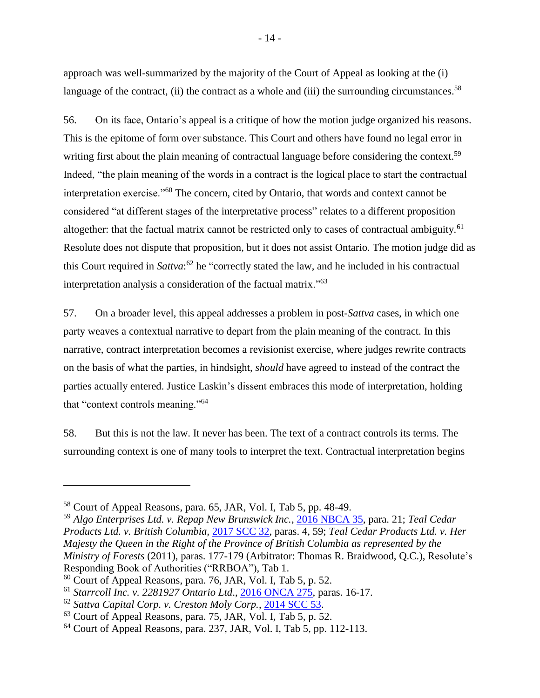approach was well-summarized by the majority of the Court of Appeal as looking at the (i) language of the contract, (ii) the contract as a whole and (iii) the surrounding circumstances.<sup>58</sup>

56. On its face, Ontario's appeal is a critique of how the motion judge organized his reasons. This is the epitome of form over substance. This Court and others have found no legal error in writing first about the plain meaning of contractual language before considering the context.<sup>59</sup> Indeed, "the plain meaning of the words in a contract is the logical place to start the contractual interpretation exercise."<sup>60</sup> The concern, cited by Ontario, that words and context cannot be considered "at different stages of the interpretative process" relates to a different proposition altogether: that the factual matrix cannot be restricted only to cases of contractual ambiguity.<sup>61</sup> Resolute does not dispute that proposition, but it does not assist Ontario. The motion judge did as this Court required in *Sattva*: <sup>62</sup> he "correctly stated the law, and he included in his contractual interpretation analysis a consideration of the factual matrix."<sup>63</sup>

57. On a broader level, this appeal addresses a problem in post-*Sattva* cases, in which one party weaves a contextual narrative to depart from the plain meaning of the contract. In this narrative, contract interpretation becomes a revisionist exercise, where judges rewrite contracts on the basis of what the parties, in hindsight, *should* have agreed to instead of the contract the parties actually entered. Justice Laskin's dissent embraces this mode of interpretation, holding that "context controls meaning."<sup>64</sup>

58. But this is not the law. It never has been. The text of a contract controls its terms. The surrounding context is one of many tools to interpret the text. Contractual interpretation begins

<sup>58</sup> Court of Appeal Reasons, para. 65, JAR, Vol. I, Tab 5, pp. 48-49.

<sup>59</sup> *Algo Enterprises Ltd. v. Repap New Brunswick Inc.*, [2016 NBCA 35,](https://www.canlii.org/en/nb/nbca/doc/2016/2016nbca35/2016nbca35.html?autocompleteStr=2016%20NBCA%2035&autocompletePos=1) para. 21; *Teal Cedar Products Ltd. v. British Columbia,* [2017 SCC 32,](https://www.canlii.org/en/ca/scc/doc/2017/2017scc32/2017scc32.html?autocompleteStr=teal%20&autocompletePos=2) paras. 4, 59; *Teal Cedar Products Ltd. v. Her Majesty the Queen in the Right of the Province of British Columbia as represented by the Ministry of Forests* (2011), paras. 177-179 (Arbitrator: Thomas R. Braidwood, Q.C.), Resolute's Responding Book of Authorities ("RRBOA"), Tab 1.

<sup>60</sup> Court of Appeal Reasons, para. 76, JAR, Vol. I, Tab 5, p. 52.

<sup>61</sup> *Starrcoll Inc. v. 2281927 Ontario Ltd*., [2016 ONCA 275,](https://www.canlii.org/en/on/onca/doc/2016/2016onca275/2016onca275.html?resultIndex=1) paras. 16-17.

<sup>62</sup> *Sattva Capital Corp. v. Creston Moly Corp.*, [2014 SCC 53.](https://www.canlii.org/en/ca/scc/doc/2014/2014scc53/2014scc53.html)

<sup>63</sup> Court of Appeal Reasons, para. 75, JAR, Vol. I, Tab 5, p. 52.

 $64$  Court of Appeal Reasons, para. 237, JAR, Vol. I, Tab 5, pp. 112-113.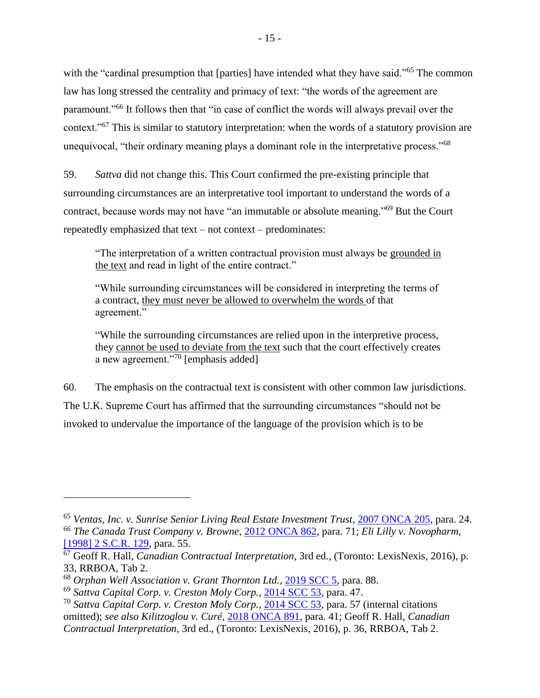with the "cardinal presumption that [parties] have intended what they have said."<sup>65</sup> The common law has long stressed the centrality and primacy of text: "the words of the agreement are paramount."<sup>66</sup> It follows then that "in case of conflict the words will always prevail over the context."<sup>67</sup> This is similar to statutory interpretation: when the words of a statutory provision are unequivocal, "their ordinary meaning plays a dominant role in the interpretative process."<sup>68</sup>

59. *Sattva* did not change this. This Court confirmed the pre-existing principle that surrounding circumstances are an interpretative tool important to understand the words of a contract, because words may not have "an immutable or absolute meaning."<sup>69</sup> But the Court repeatedly emphasized that text – not context – predominates:

"The interpretation of a written contractual provision must always be grounded in the text and read in light of the entire contract."

"While surrounding circumstances will be considered in interpreting the terms of a contract, they must never be allowed to overwhelm the words of that agreement."

"While the surrounding circumstances are relied upon in the interpretive process, they cannot be used to deviate from the text such that the court effectively creates a new agreement."<sup>70</sup> [emphasis added]

60. The emphasis on the contractual text is consistent with other common law jurisdictions. The U.K. Supreme Court has affirmed that the surrounding circumstances "should not be invoked to undervalue the importance of the language of the provision which is to be

<sup>65</sup> *Ventas, Inc. v. Sunrise Senior Living Real Estate Investment Trust*, [2007 ONCA 205,](https://www.canlii.org/en/on/onca/doc/2007/2007onca205/2007onca205.html?resultIndex=1) para. 24. <sup>66</sup> *The Canada Trust Company v. Browne*, [2012 ONCA 862,](https://www.canlii.org/en/on/onca/doc/2012/2012onca862/2012onca862.html?resultIndex=1) para. 71; *Eli Lilly v. Novopharm*, [\[1998\] 2 S.C.R.](https://www.canlii.org/en/ca/scc/doc/1998/1998canlii791/1998canlii791.html?autocompleteStr=%20%5b1998%5d%202%20SCR%20129%20&autocompletePos=1) 129, para. 55.

<sup>67</sup> Geoff R. Hall, *Canadian Contractual Interpretation*, 3rd ed., (Toronto: LexisNexis, 2016), p. 33, RRBOA, Tab 2.

<sup>68</sup> *Orphan Well Association v. Grant Thornton Ltd.*, [2019 SCC 5,](https://www.canlii.org/en/ca/scc/doc/2019/2019scc5/2019scc5.html?resultIndex=3) para. 88.

<sup>69</sup> *Sattva Capital Corp. v. Creston Moly Corp.*, [2014 SCC 53,](https://www.canlii.org/en/ca/scc/doc/2014/2014scc53/2014scc53.html) para. 47.

<sup>70</sup> *Sattva Capital Corp. v. Creston Moly Corp.*, [2014 SCC 53,](https://www.canlii.org/en/ca/scc/doc/2014/2014scc53/2014scc53.html) para. 57 (internal citations omitted); *see also Kilitzoglou v. Curé,* [2018 ONCA 891,](http://canlii.ca/t/hvzwz) para. 41; Geoff R. Hall, *Canadian Contractual Interpretation*, 3rd ed., (Toronto: LexisNexis, 2016), p. 36, RRBOA, Tab 2.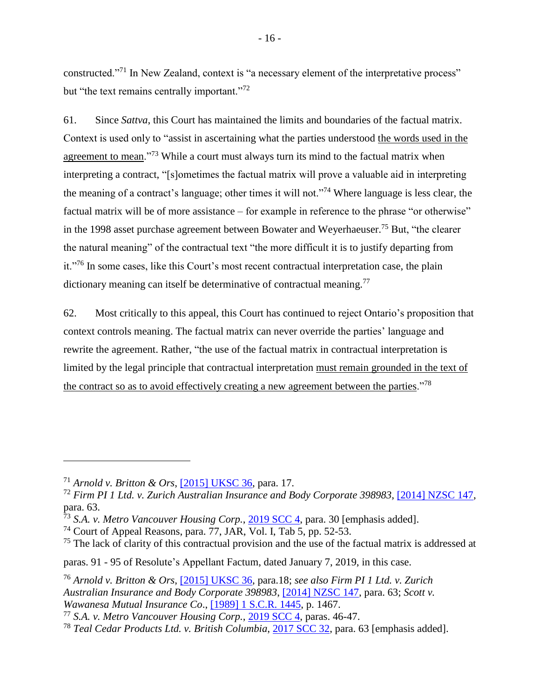constructed."<sup>71</sup> In New Zealand, context is "a necessary element of the interpretative process" but "the text remains centrally important."<sup>72</sup>

61. Since *Sattva*, this Court has maintained the limits and boundaries of the factual matrix. Context is used only to "assist in ascertaining what the parties understood the words used in the agreement to mean."<sup>73</sup> While a court must always turn its mind to the factual matrix when interpreting a contract, "[s]ometimes the factual matrix will prove a valuable aid in interpreting the meaning of a contract's language; other times it will not."<sup>74</sup> Where language is less clear, the factual matrix will be of more assistance – for example in reference to the phrase "or otherwise" in the 1998 asset purchase agreement between Bowater and Weyerhaeuser.<sup>75</sup> But, "the clearer the natural meaning" of the contractual text "the more difficult it is to justify departing from it."<sup>76</sup> In some cases, like this Court's most recent contractual interpretation case, the plain dictionary meaning can itself be determinative of contractual meaning.<sup>77</sup>

62. Most critically to this appeal, this Court has continued to reject Ontario's proposition that context controls meaning. The factual matrix can never override the parties' language and rewrite the agreement. Rather, "the use of the factual matrix in contractual interpretation is limited by the legal principle that contractual interpretation must remain grounded in the text of the contract so as to avoid effectively creating a new agreement between the parties."<sup>78</sup>

<sup>71</sup> *Arnold v. Britton & Ors*, [\[2015\] UKSC 36,](https://www.bailii.org/uk/cases/UKSC/2015/36.html) para. 17.

<sup>72</sup> *Firm PI 1 Ltd. v. Zurich Australian Insurance and Body Corporate 398983*, [\[2014\] NZSC 147,](http://www.courtsofnz.govt.nz/front-page/cases/firm-pi-1-ltd-v-zurich-australian-insurance-and-body-corporate-398983) para. 63.

<sup>73</sup> *S.A. v. Metro Vancouver Housing Corp.*, [2019 SCC 4,](https://www.canlii.org/en/ca/scc/doc/2019/2019scc4/2019scc4.html?autocompleteStr=2019%20SCC%204&autocompletePos=1) para. 30 [emphasis added].

<sup>&</sup>lt;sup>74</sup> Court of Appeal Reasons, para. 77, JAR, Vol. I, Tab 5, pp. 52-53.

 $<sup>75</sup>$  The lack of clarity of this contractual provision and the use of the factual matrix is addressed at</sup>

paras. 91 - 95 of Resolute's Appellant Factum, dated January 7, 2019, in this case.

<sup>76</sup> *Arnold v. Britton & Ors*, [\[2015\] UKSC 36,](https://www.bailii.org/uk/cases/UKSC/2015/36.html) para.18; *see also Firm PI 1 Ltd. v. Zurich Australian Insurance and Body Corporate 398983*, [\[2014\] NZSC 147,](http://www.courtsofnz.govt.nz/front-page/cases/firm-pi-1-ltd-v-zurich-australian-insurance-and-body-corporate-398983) para. 63; *Scott v. Wawanesa Mutual Insurance Co*., [\[1989\] 1 S.C.R. 1445,](https://www.canlii.org/en/ca/scc/doc/1989/1989canlii105/1989canlii105.html?autocompleteStr=%5b1989%5d%201%20S.C.R.%201445&autocompletePos=1) p. 1467.

<sup>77</sup> *S.A. v. Metro Vancouver Housing Corp.*, [2019 SCC 4,](https://www.canlii.org/en/ca/scc/doc/2019/2019scc4/2019scc4.html?autocompleteStr=2019%20SCC%204&autocompletePos=1) paras. 46-47.

<sup>78</sup> *Teal Cedar Products Ltd. v. British Columbia*, [2017 SCC 32,](https://www.canlii.org/en/ca/scc/doc/2017/2017scc32/2017scc32.html?autocompleteStr=teal%20&autocompletePos=2) para. 63 [emphasis added].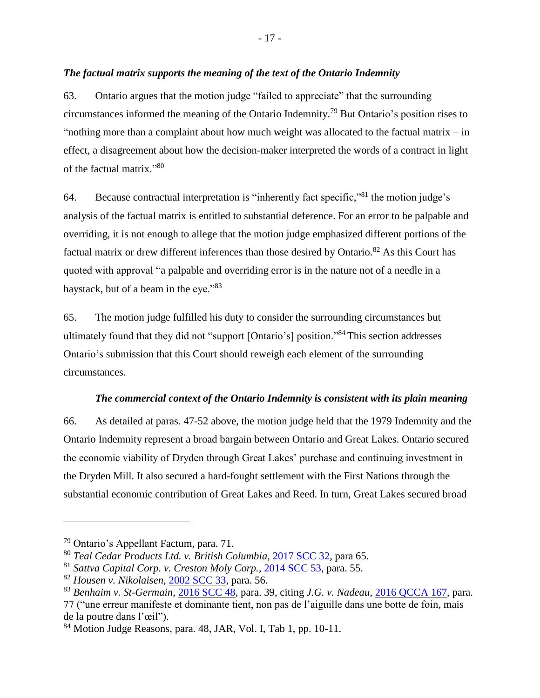## <span id="page-20-0"></span>*The factual matrix supports the meaning of the text of the Ontario Indemnity*

63. Ontario argues that the motion judge "failed to appreciate" that the surrounding circumstances informed the meaning of the Ontario Indemnity.<sup>79</sup> But Ontario's position rises to "nothing more than a complaint about how much weight was allocated to the factual matrix  $-\text{in}$ effect, a disagreement about how the decision-maker interpreted the words of a contract in light of the factual matrix."<sup>80</sup>

64. Because contractual interpretation is "inherently fact specific,"<sup>81</sup> the motion judge's analysis of the factual matrix is entitled to substantial deference. For an error to be palpable and overriding, it is not enough to allege that the motion judge emphasized different portions of the factual matrix or drew different inferences than those desired by Ontario.<sup>82</sup> As this Court has quoted with approval "a palpable and overriding error is in the nature not of a needle in a haystack, but of a beam in the eye."<sup>83</sup>

65. The motion judge fulfilled his duty to consider the surrounding circumstances but ultimately found that they did not "support [Ontario's] position." <sup>84</sup> This section addresses Ontario's submission that this Court should reweigh each element of the surrounding circumstances.

## *The commercial context of the Ontario Indemnity is consistent with its plain meaning*

<span id="page-20-1"></span>66. As detailed at paras. 47-52 above, the motion judge held that the 1979 Indemnity and the Ontario Indemnity represent a broad bargain between Ontario and Great Lakes. Ontario secured the economic viability of Dryden through Great Lakes' purchase and continuing investment in the Dryden Mill. It also secured a hard-fought settlement with the First Nations through the substantial economic contribution of Great Lakes and Reed. In turn, Great Lakes secured broad

<sup>79</sup> Ontario's Appellant Factum, para. 71.

<sup>80</sup> *Teal Cedar Products Ltd. v. British Columbia*, [2017 SCC 32,](https://www.canlii.org/en/ca/scc/doc/2017/2017scc32/2017scc32.html?autocompleteStr=teal%20&autocompletePos=2) para 65.

<sup>81</sup> *Sattva Capital Corp. v. Creston Moly Corp.*, [2014 SCC 53,](https://www.canlii.org/en/ca/scc/doc/2014/2014scc53/2014scc53.html) para. 55.

<sup>82</sup> *Housen v. Nikolaisen*, [2002 SCC 33,](https://www.canlii.org/en/ca/scc/doc/2002/2002scc33/2002scc33.html?autocompleteStr=housen&autocompletePos=1) para. 56.

<sup>83</sup> *Benhaim v. St-Germain*, [2016 SCC 48,](https://www.canlii.org/en/ca/scc/doc/2016/2016scc48/2016scc48.html?autocompleteStr=2016%20SCC%2048&autocompletePos=1) para. 39, citing *J.G. v. Nadeau*, [2016 QCCA 167,](https://www.canlii.org/fr/qc/qcca/doc/2016/2016qcca167/2016qcca167.html) para. 77 ("une erreur manifeste et dominante tient, non pas de l'aiguille dans une botte de foin, mais de la poutre dans l'œil").

<sup>84</sup> Motion Judge Reasons, para. 48, JAR, Vol. I, Tab 1, pp. 10-11.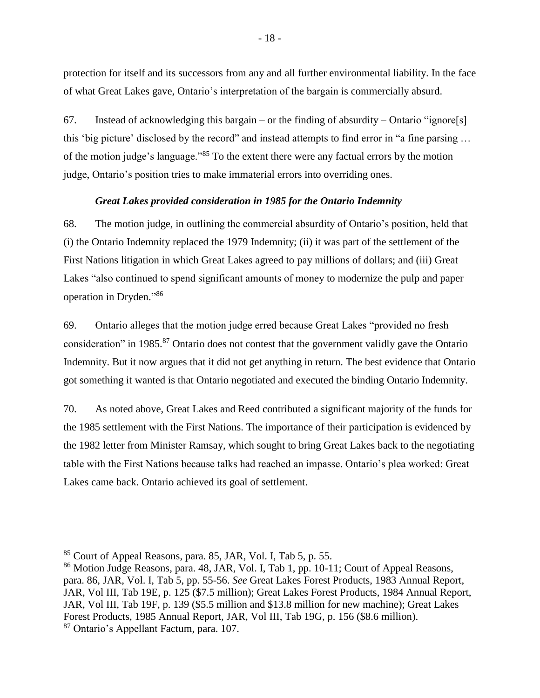protection for itself and its successors from any and all further environmental liability. In the face of what Great Lakes gave, Ontario's interpretation of the bargain is commercially absurd.

67. Instead of acknowledging this bargain – or the finding of absurdity – Ontario "ignore[s] this 'big picture' disclosed by the record" and instead attempts to find error in "a fine parsing … of the motion judge's language."<sup>85</sup> To the extent there were any factual errors by the motion judge, Ontario's position tries to make immaterial errors into overriding ones.

## *Great Lakes provided consideration in 1985 for the Ontario Indemnity*

<span id="page-21-0"></span>68. The motion judge, in outlining the commercial absurdity of Ontario's position, held that (i) the Ontario Indemnity replaced the 1979 Indemnity; (ii) it was part of the settlement of the First Nations litigation in which Great Lakes agreed to pay millions of dollars; and (iii) Great Lakes "also continued to spend significant amounts of money to modernize the pulp and paper operation in Dryden." 86

69. Ontario alleges that the motion judge erred because Great Lakes "provided no fresh consideration" in 1985.<sup>87</sup> Ontario does not contest that the government validly gave the Ontario Indemnity. But it now argues that it did not get anything in return. The best evidence that Ontario got something it wanted is that Ontario negotiated and executed the binding Ontario Indemnity.

70. As noted above, Great Lakes and Reed contributed a significant majority of the funds for the 1985 settlement with the First Nations. The importance of their participation is evidenced by the 1982 letter from Minister Ramsay, which sought to bring Great Lakes back to the negotiating table with the First Nations because talks had reached an impasse. Ontario's plea worked: Great Lakes came back. Ontario achieved its goal of settlement.

<sup>85</sup> Court of Appeal Reasons, para. 85, JAR, Vol. I, Tab 5, p. 55.

<sup>86</sup> Motion Judge Reasons, para. 48, JAR, Vol. I, Tab 1, pp. 10-11; Court of Appeal Reasons, para. 86, JAR, Vol. I, Tab 5, pp. 55-56. *See* Great Lakes Forest Products, 1983 Annual Report, JAR, Vol III, Tab 19E, p. 125 (\$7.5 million); Great Lakes Forest Products, 1984 Annual Report, JAR, Vol III, Tab 19F, p. 139 (\$5.5 million and \$13.8 million for new machine); Great Lakes Forest Products, 1985 Annual Report, JAR, Vol III, Tab 19G, p. 156 (\$8.6 million).

<sup>87</sup> Ontario's Appellant Factum, para. 107.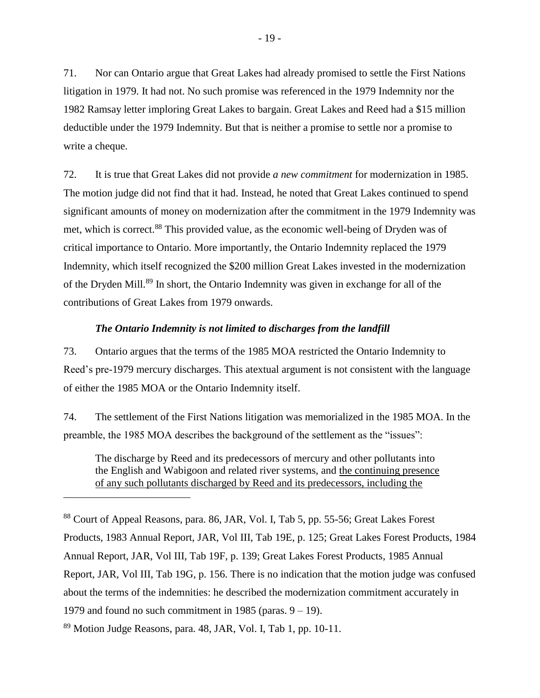71. Nor can Ontario argue that Great Lakes had already promised to settle the First Nations litigation in 1979. It had not. No such promise was referenced in the 1979 Indemnity nor the 1982 Ramsay letter imploring Great Lakes to bargain. Great Lakes and Reed had a \$15 million deductible under the 1979 Indemnity. But that is neither a promise to settle nor a promise to write a cheque.

72. It is true that Great Lakes did not provide *a new commitment* for modernization in 1985. The motion judge did not find that it had. Instead, he noted that Great Lakes continued to spend significant amounts of money on modernization after the commitment in the 1979 Indemnity was met, which is correct. <sup>88</sup> This provided value, as the economic well-being of Dryden was of critical importance to Ontario. More importantly, the Ontario Indemnity replaced the 1979 Indemnity, which itself recognized the \$200 million Great Lakes invested in the modernization of the Dryden Mill.<sup>89</sup> In short, the Ontario Indemnity was given in exchange for all of the contributions of Great Lakes from 1979 onwards.

### *The Ontario Indemnity is not limited to discharges from the landfill*

<span id="page-22-0"></span>73. Ontario argues that the terms of the 1985 MOA restricted the Ontario Indemnity to Reed's pre-1979 mercury discharges. This atextual argument is not consistent with the language of either the 1985 MOA or the Ontario Indemnity itself.

74. The settlement of the First Nations litigation was memorialized in the 1985 MOA. In the preamble, the 1985 MOA describes the background of the settlement as the "issues":

The discharge by Reed and its predecessors of mercury and other pollutants into the English and Wabigoon and related river systems, and the continuing presence of any such pollutants discharged by Reed and its predecessors, including the

<sup>88</sup> Court of Appeal Reasons, para. 86, JAR, Vol. I, Tab 5, pp. 55-56; Great Lakes Forest Products, 1983 Annual Report, JAR, Vol III, Tab 19E, p. 125; Great Lakes Forest Products, 1984 Annual Report, JAR, Vol III, Tab 19F, p. 139; Great Lakes Forest Products, 1985 Annual Report, JAR, Vol III, Tab 19G, p. 156. There is no indication that the motion judge was confused about the terms of the indemnities: he described the modernization commitment accurately in 1979 and found no such commitment in 1985 (paras.  $9 - 19$ ).

<sup>89</sup> Motion Judge Reasons, para. 48, JAR, Vol. I, Tab 1, pp. 10-11.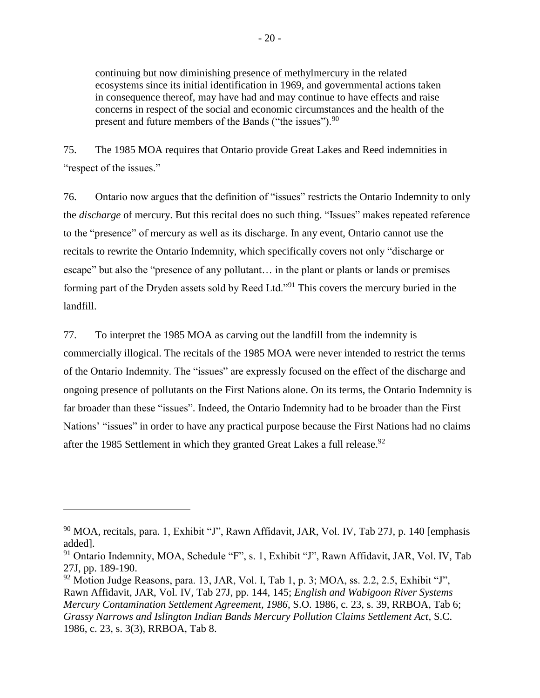continuing but now diminishing presence of methylmercury in the related ecosystems since its initial identification in 1969, and governmental actions taken in consequence thereof, may have had and may continue to have effects and raise concerns in respect of the social and economic circumstances and the health of the present and future members of the Bands ("the issues").<sup>90</sup>

75. The 1985 MOA requires that Ontario provide Great Lakes and Reed indemnities in "respect of the issues."

76. Ontario now argues that the definition of "issues" restricts the Ontario Indemnity to only the *discharge* of mercury. But this recital does no such thing. "Issues" makes repeated reference to the "presence" of mercury as well as its discharge. In any event, Ontario cannot use the recitals to rewrite the Ontario Indemnity, which specifically covers not only "discharge or escape" but also the "presence of any pollutant… in the plant or plants or lands or premises forming part of the Dryden assets sold by Reed Ltd."<sup>91</sup> This covers the mercury buried in the landfill.

77. To interpret the 1985 MOA as carving out the landfill from the indemnity is commercially illogical. The recitals of the 1985 MOA were never intended to restrict the terms of the Ontario Indemnity. The "issues" are expressly focused on the effect of the discharge and ongoing presence of pollutants on the First Nations alone. On its terms, the Ontario Indemnity is far broader than these "issues". Indeed, the Ontario Indemnity had to be broader than the First Nations' "issues" in order to have any practical purpose because the First Nations had no claims after the 1985 Settlement in which they granted Great Lakes a full release.<sup>92</sup>

<sup>90</sup> MOA, recitals, para. 1, Exhibit "J", Rawn Affidavit, JAR, Vol. IV, Tab 27J, p. 140 [emphasis added].

<sup>&</sup>lt;sup>91</sup> Ontario Indemnity, MOA, Schedule "F", s. 1, Exhibit "J", Rawn Affidavit, JAR, Vol. IV, Tab 27J, pp. 189-190.

 $92$  Motion Judge Reasons, para. 13, JAR, Vol. I, Tab 1, p. 3; MOA, ss. 2.2, 2.5, Exhibit "J", Rawn Affidavit, JAR, Vol. IV, Tab 27J, pp. 144, 145; *English and Wabigoon River Systems Mercury Contamination Settlement Agreement, 1986*, S.O. 1986, c. 23, s. 39, RRBOA, Tab 6; *Grassy Narrows and Islington Indian Bands Mercury Pollution Claims Settlement Act*, S.C. 1986, c. 23, s. 3(3), RRBOA, Tab 8.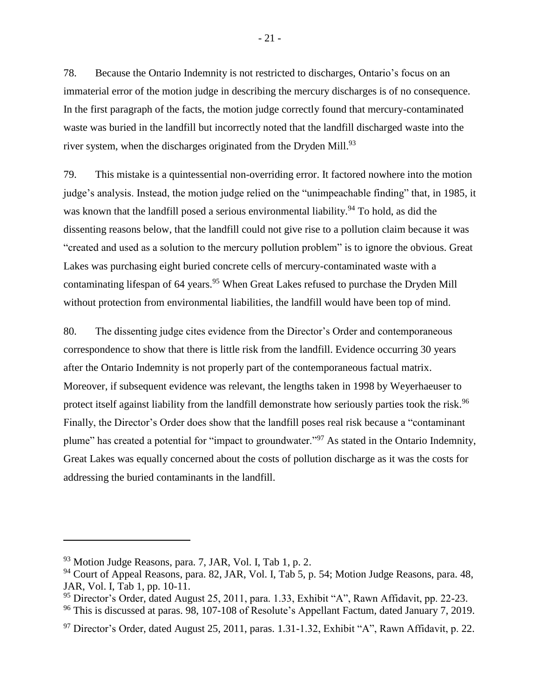78. Because the Ontario Indemnity is not restricted to discharges, Ontario's focus on an immaterial error of the motion judge in describing the mercury discharges is of no consequence. In the first paragraph of the facts, the motion judge correctly found that mercury-contaminated waste was buried in the landfill but incorrectly noted that the landfill discharged waste into the river system, when the discharges originated from the Dryden Mill.<sup>93</sup>

79. This mistake is a quintessential non-overriding error. It factored nowhere into the motion judge's analysis. Instead, the motion judge relied on the "unimpeachable finding" that, in 1985, it was known that the landfill posed a serious environmental liability.<sup>94</sup> To hold, as did the dissenting reasons below, that the landfill could not give rise to a pollution claim because it was "created and used as a solution to the mercury pollution problem" is to ignore the obvious. Great Lakes was purchasing eight buried concrete cells of mercury-contaminated waste with a contaminating lifespan of 64 years.<sup>95</sup> When Great Lakes refused to purchase the Dryden Mill without protection from environmental liabilities, the landfill would have been top of mind.

80. The dissenting judge cites evidence from the Director's Order and contemporaneous correspondence to show that there is little risk from the landfill. Evidence occurring 30 years after the Ontario Indemnity is not properly part of the contemporaneous factual matrix. Moreover, if subsequent evidence was relevant, the lengths taken in 1998 by Weyerhaeuser to protect itself against liability from the landfill demonstrate how seriously parties took the risk.<sup>96</sup> Finally, the Director's Order does show that the landfill poses real risk because a "contaminant plume" has created a potential for "impact to groundwater."<sup>97</sup> As stated in the Ontario Indemnity, Great Lakes was equally concerned about the costs of pollution discharge as it was the costs for addressing the buried contaminants in the landfill.

<sup>93</sup> Motion Judge Reasons, para. 7, JAR, Vol. I, Tab 1, p. 2.

<sup>&</sup>lt;sup>94</sup> Court of Appeal Reasons, para. 82, JAR, Vol. I, Tab 5, p. 54; Motion Judge Reasons, para. 48, JAR, Vol. I, Tab 1, pp. 10-11.

<sup>&</sup>lt;sup>95</sup> Director's Order, dated August 25, 2011, para. 1.33, Exhibit "A", Rawn Affidavit, pp. 22-23.

<sup>&</sup>lt;sup>96</sup> This is discussed at paras. 98, 107-108 of Resolute's Appellant Factum, dated January 7, 2019.

<sup>&</sup>lt;sup>97</sup> Director's Order, dated August 25, 2011, paras. 1.31-1.32, Exhibit "A", Rawn Affidavit, p. 22.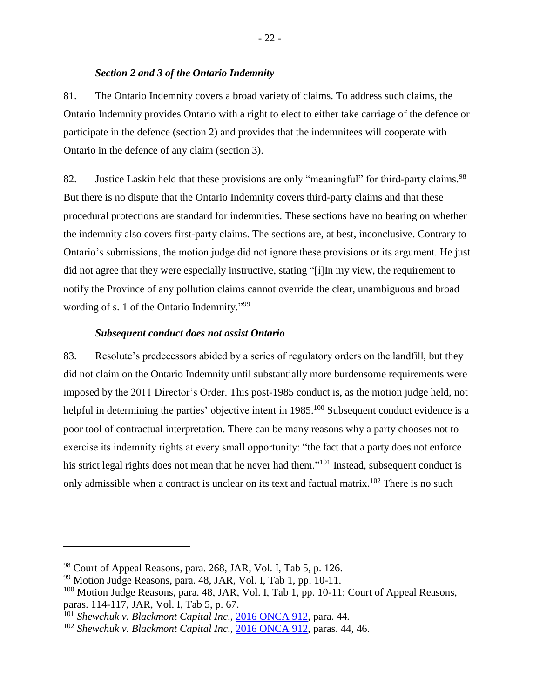### *Section 2 and 3 of the Ontario Indemnity*

<span id="page-25-0"></span>81. The Ontario Indemnity covers a broad variety of claims. To address such claims, the Ontario Indemnity provides Ontario with a right to elect to either take carriage of the defence or participate in the defence (section 2) and provides that the indemnitees will cooperate with Ontario in the defence of any claim (section 3).

82. Justice Laskin held that these provisions are only "meaningful" for third-party claims.<sup>98</sup> But there is no dispute that the Ontario Indemnity covers third-party claims and that these procedural protections are standard for indemnities. These sections have no bearing on whether the indemnity also covers first-party claims. The sections are, at best, inconclusive. Contrary to Ontario's submissions, the motion judge did not ignore these provisions or its argument. He just did not agree that they were especially instructive, stating "[i]In my view, the requirement to notify the Province of any pollution claims cannot override the clear, unambiguous and broad wording of s. 1 of the Ontario Indemnity."<sup>99</sup>

#### *Subsequent conduct does not assist Ontario*

<span id="page-25-1"></span>83. Resolute's predecessors abided by a series of regulatory orders on the landfill, but they did not claim on the Ontario Indemnity until substantially more burdensome requirements were imposed by the 2011 Director's Order. This post-1985 conduct is, as the motion judge held, not helpful in determining the parties' objective intent in 1985.<sup>100</sup> Subsequent conduct evidence is a poor tool of contractual interpretation. There can be many reasons why a party chooses not to exercise its indemnity rights at every small opportunity: "the fact that a party does not enforce his strict legal rights does not mean that he never had them."<sup>101</sup> Instead, subsequent conduct is only admissible when a contract is unclear on its text and factual matrix.<sup>102</sup> There is no such

<sup>98</sup> Court of Appeal Reasons, para. 268, JAR, Vol. I, Tab 5, p. 126.

 $99$  Motion Judge Reasons, para. 48, JAR, Vol. I, Tab 1, pp. 10-11.

 $100$  Motion Judge Reasons, para. 48, JAR, Vol. I, Tab 1, pp. 10-11; Court of Appeal Reasons, paras. 114-117, JAR, Vol. I, Tab 5, p. 67.

<sup>101</sup> *Shewchuk v. Blackmont Capital Inc*., [2016 ONCA 912,](http://canlii.ca/t/gvvmz) para. 44*.*

<sup>102</sup> *Shewchuk v. Blackmont Capital Inc*., [2016 ONCA 912,](http://canlii.ca/t/gvvmz) paras. 44, 46.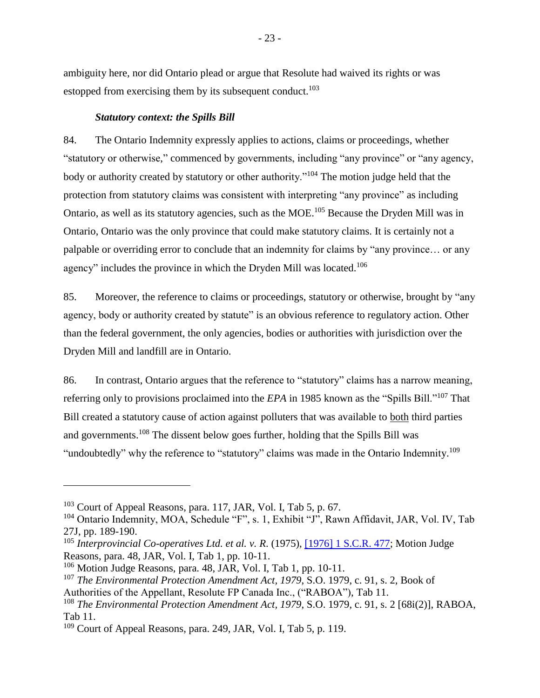ambiguity here, nor did Ontario plead or argue that Resolute had waived its rights or was estopped from exercising them by its subsequent conduct.<sup>103</sup>

#### *Statutory context: the Spills Bill*

<span id="page-26-0"></span>84. The Ontario Indemnity expressly applies to actions, claims or proceedings, whether "statutory or otherwise," commenced by governments, including "any province" or "any agency, body or authority created by statutory or other authority."<sup>104</sup> The motion judge held that the protection from statutory claims was consistent with interpreting "any province" as including Ontario, as well as its statutory agencies, such as the MOE.<sup>105</sup> Because the Dryden Mill was in Ontario, Ontario was the only province that could make statutory claims. It is certainly not a palpable or overriding error to conclude that an indemnity for claims by "any province… or any agency" includes the province in which the Dryden Mill was located.<sup>106</sup>

85. Moreover, the reference to claims or proceedings, statutory or otherwise, brought by "any agency, body or authority created by statute" is an obvious reference to regulatory action. Other than the federal government, the only agencies, bodies or authorities with jurisdiction over the Dryden Mill and landfill are in Ontario.

86. In contrast, Ontario argues that the reference to "statutory" claims has a narrow meaning, referring only to provisions proclaimed into the *EPA* in 1985 known as the "Spills Bill."<sup>107</sup> That Bill created a statutory cause of action against polluters that was available to both third parties and governments.<sup>108</sup> The dissent below goes further, holding that the Spills Bill was "undoubtedly" why the reference to "statutory" claims was made in the Ontario Indemnity.<sup>109</sup>

 $103$  Court of Appeal Reasons, para. 117, JAR, Vol. I, Tab 5, p. 67.

<sup>&</sup>lt;sup>104</sup> Ontario Indemnity, MOA, Schedule "F", s. 1, Exhibit "J", Rawn Affidavit, JAR, Vol. IV, Tab 27J, pp. 189-190.

<sup>105</sup> *Interprovincial Co-operatives Ltd. et al. v. R*. (1975), [\[1976\] 1 S.C.R. 477;](http://canlii.ca/t/1z6gm) Motion Judge Reasons, para. 48, JAR, Vol. I, Tab 1, pp. 10-11.

<sup>106</sup> Motion Judge Reasons, para. 48, JAR, Vol. I, Tab 1, pp. 10-11.

<sup>107</sup> *The Environmental Protection Amendment Act, 1979*, S.O. 1979, c. 91, s. 2, Book of

Authorities of the Appellant, Resolute FP Canada Inc., ("RABOA"), Tab 11.

<sup>108</sup> *The Environmental Protection Amendment Act, 1979*, S.O. 1979, c. 91, s. 2 [68i(2)], RABOA, Tab 11.

<sup>&</sup>lt;sup>109</sup> Court of Appeal Reasons, para. 249, JAR, Vol. I, Tab 5, p. 119.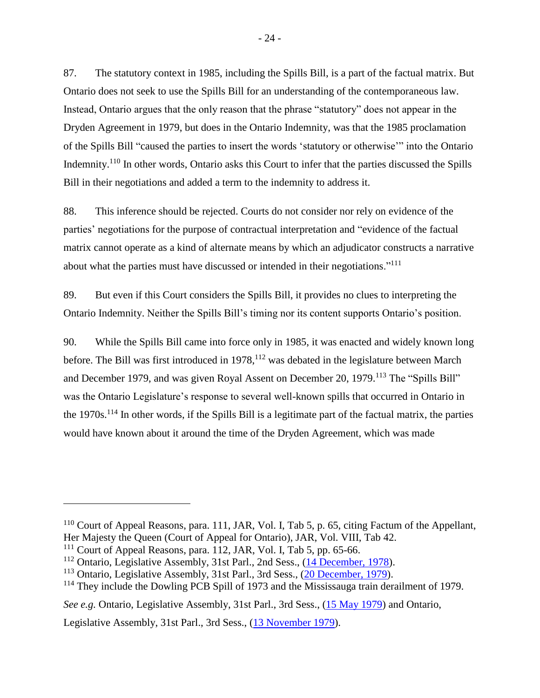87. The statutory context in 1985, including the Spills Bill, is a part of the factual matrix. But Ontario does not seek to use the Spills Bill for an understanding of the contemporaneous law. Instead, Ontario argues that the only reason that the phrase "statutory" does not appear in the Dryden Agreement in 1979, but does in the Ontario Indemnity, was that the 1985 proclamation of the Spills Bill "caused the parties to insert the words 'statutory or otherwise'" into the Ontario Indemnity.<sup>110</sup> In other words, Ontario asks this Court to infer that the parties discussed the Spills Bill in their negotiations and added a term to the indemnity to address it.

88. This inference should be rejected. Courts do not consider nor rely on evidence of the parties' negotiations for the purpose of contractual interpretation and "evidence of the factual matrix cannot operate as a kind of alternate means by which an adjudicator constructs a narrative about what the parties must have discussed or intended in their negotiations."<sup>111</sup>

89. But even if this Court considers the Spills Bill, it provides no clues to interpreting the Ontario Indemnity. Neither the Spills Bill's timing nor its content supports Ontario's position.

90. While the Spills Bill came into force only in 1985, it was enacted and widely known long before. The Bill was first introduced in 1978,<sup>112</sup> was debated in the legislature between March and December 1979, and was given Royal Assent on December 20, 1979.<sup>113</sup> The "Spills Bill" was the Ontario Legislature's response to several well-known spills that occurred in Ontario in the  $1970s$ .<sup>114</sup> In other words, if the Spills Bill is a legitimate part of the factual matrix, the parties would have known about it around the time of the Dryden Agreement, which was made

 $\overline{a}$ 

Legislative Assembly, 31st Parl., 3rd Sess., [\(13 November 1979\)](http://hansardindex.ontla.on.ca/hansardeissue/31-3/l106.htm).

<sup>&</sup>lt;sup>110</sup> Court of Appeal Reasons, para. 111, JAR, Vol. I, Tab 5, p. 65, citing Factum of the Appellant, Her Majesty the Queen (Court of Appeal for Ontario), JAR, Vol. VIII, Tab 42.

 $111$  Court of Appeal Reasons, para. 112, JAR, Vol. I, Tab 5, pp. 65-66.

<sup>&</sup>lt;sup>112</sup> Ontario, Legislative Assembly, 31st Parl., 2nd Sess., [\(14 December, 1978\)](http://hansardindex.ontla.on.ca/hansardeissue/31-2/l038.htm).

<sup>113</sup> Ontario, Legislative Assembly, 31st Parl., 3rd Sess., [\(20 December, 1979\)](http://hansardindex.ontla.on.ca/hansardeissue/31-3/l145.htm).

<sup>&</sup>lt;sup>114</sup> They include the Dowling PCB Spill of 1973 and the Mississauga train derailment of 1979.

*See e.g.* Ontario, Legislative Assembly, 31st Parl., 3rd Sess., [\(15 May 1979\)](http://hansardindex.ontla.on.ca/hansardeissue/31-3/l047.htm) and Ontario,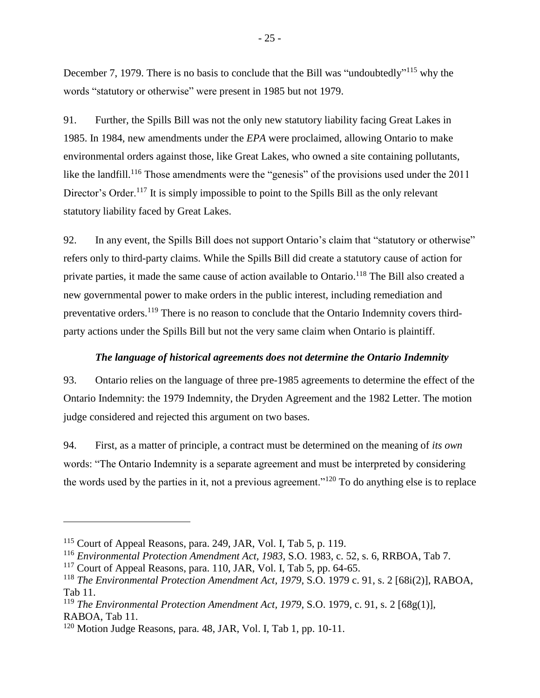December 7, 1979. There is no basis to conclude that the Bill was "undoubtedly"<sup>115</sup> why the words "statutory or otherwise" were present in 1985 but not 1979.

91. Further, the Spills Bill was not the only new statutory liability facing Great Lakes in 1985. In 1984, new amendments under the *EPA* were proclaimed, allowing Ontario to make environmental orders against those, like Great Lakes, who owned a site containing pollutants, like the landfill.<sup>116</sup> Those amendments were the "genesis" of the provisions used under the 2011 Director's Order.<sup>117</sup> It is simply impossible to point to the Spills Bill as the only relevant statutory liability faced by Great Lakes.

92. In any event, the Spills Bill does not support Ontario's claim that "statutory or otherwise" refers only to third-party claims. While the Spills Bill did create a statutory cause of action for private parties, it made the same cause of action available to Ontario.<sup>118</sup> The Bill also created a new governmental power to make orders in the public interest, including remediation and preventative orders.<sup>119</sup> There is no reason to conclude that the Ontario Indemnity covers thirdparty actions under the Spills Bill but not the very same claim when Ontario is plaintiff.

## *The language of historical agreements does not determine the Ontario Indemnity*

<span id="page-28-0"></span>93. Ontario relies on the language of three pre-1985 agreements to determine the effect of the Ontario Indemnity: the 1979 Indemnity, the Dryden Agreement and the 1982 Letter. The motion judge considered and rejected this argument on two bases.

94. First, as a matter of principle, a contract must be determined on the meaning of *its own* words: "The Ontario Indemnity is a separate agreement and must be interpreted by considering the words used by the parties in it, not a previous agreement."<sup>120</sup> To do anything else is to replace

 $\overline{a}$ 

<sup>116</sup> *Environmental Protection Amendment Act, 1983*, S.O. 1983, c. 52, s. 6, RRBOA, Tab 7.

<sup>115</sup> Court of Appeal Reasons, para. 249, JAR, Vol. I, Tab 5, p. 119.

 $117$  Court of Appeal Reasons, para. 110, JAR, Vol. I, Tab 5, pp. 64-65.

<sup>118</sup> *The Environmental Protection Amendment Act, 1979*, S.O. 1979 c. 91, s. 2 [68i(2)], RABOA, Tab 11.

<sup>119</sup> *The Environmental Protection Amendment Act, 1979*, S.O. 1979, c. 91, s. 2 [68g(1)], RABOA, Tab 11.

<sup>&</sup>lt;sup>120</sup> Motion Judge Reasons, para. 48, JAR, Vol. I, Tab 1, pp. 10-11.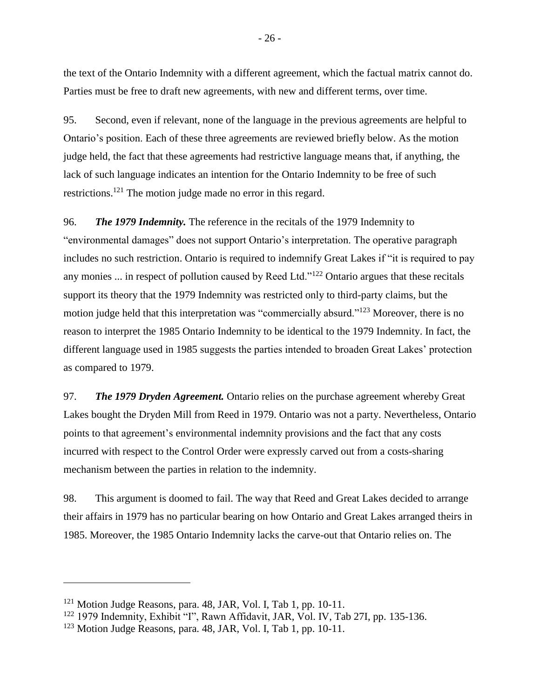the text of the Ontario Indemnity with a different agreement, which the factual matrix cannot do. Parties must be free to draft new agreements, with new and different terms, over time.

95. Second, even if relevant, none of the language in the previous agreements are helpful to Ontario's position. Each of these three agreements are reviewed briefly below. As the motion judge held, the fact that these agreements had restrictive language means that, if anything, the lack of such language indicates an intention for the Ontario Indemnity to be free of such restrictions.<sup>121</sup> The motion judge made no error in this regard.

96. *The 1979 Indemnity.* The reference in the recitals of the 1979 Indemnity to "environmental damages" does not support Ontario's interpretation. The operative paragraph includes no such restriction. Ontario is required to indemnify Great Lakes if "it is required to pay any monies ... in respect of pollution caused by Reed Ltd."<sup>122</sup> Ontario argues that these recitals support its theory that the 1979 Indemnity was restricted only to third-party claims, but the motion judge held that this interpretation was "commercially absurd."<sup>123</sup> Moreover, there is no reason to interpret the 1985 Ontario Indemnity to be identical to the 1979 Indemnity. In fact, the different language used in 1985 suggests the parties intended to broaden Great Lakes' protection as compared to 1979.

97. *The 1979 Dryden Agreement.* Ontario relies on the purchase agreement whereby Great Lakes bought the Dryden Mill from Reed in 1979. Ontario was not a party. Nevertheless, Ontario points to that agreement's environmental indemnity provisions and the fact that any costs incurred with respect to the Control Order were expressly carved out from a costs-sharing mechanism between the parties in relation to the indemnity.

98. This argument is doomed to fail. The way that Reed and Great Lakes decided to arrange their affairs in 1979 has no particular bearing on how Ontario and Great Lakes arranged theirs in 1985. Moreover, the 1985 Ontario Indemnity lacks the carve-out that Ontario relies on. The

 $121$  Motion Judge Reasons, para. 48, JAR, Vol. I, Tab 1, pp. 10-11.

<sup>&</sup>lt;sup>122</sup> 1979 Indemnity, Exhibit "I", Rawn Affidavit, JAR, Vol. IV, Tab 27I, pp. 135-136.

 $123$  Motion Judge Reasons, para. 48, JAR, Vol. I, Tab 1, pp. 10-11.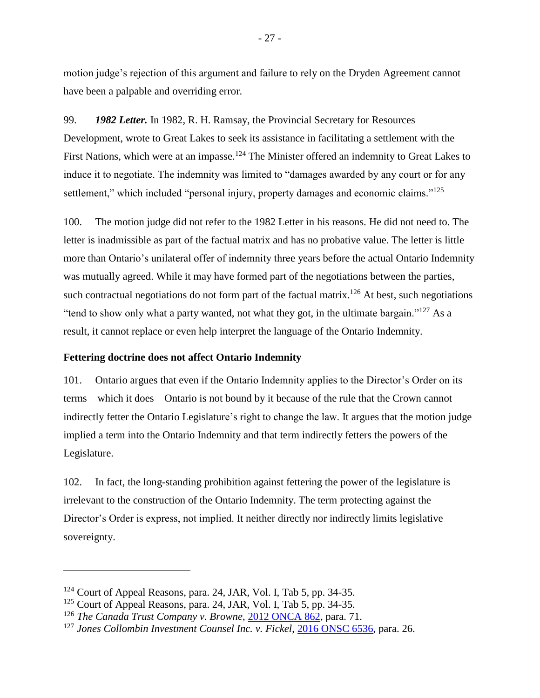motion judge's rejection of this argument and failure to rely on the Dryden Agreement cannot have been a palpable and overriding error.

99. *1982 Letter.* In 1982, R. H. Ramsay, the Provincial Secretary for Resources Development, wrote to Great Lakes to seek its assistance in facilitating a settlement with the First Nations, which were at an impasse.<sup>124</sup> The Minister offered an indemnity to Great Lakes to induce it to negotiate. The indemnity was limited to "damages awarded by any court or for any settlement," which included "personal injury, property damages and economic claims."<sup>125</sup>

100. The motion judge did not refer to the 1982 Letter in his reasons. He did not need to. The letter is inadmissible as part of the factual matrix and has no probative value. The letter is little more than Ontario's unilateral offer of indemnity three years before the actual Ontario Indemnity was mutually agreed. While it may have formed part of the negotiations between the parties, such contractual negotiations do not form part of the factual matrix.<sup>126</sup> At best, such negotiations "tend to show only what a party wanted, not what they got, in the ultimate bargain."<sup>127</sup> As a result, it cannot replace or even help interpret the language of the Ontario Indemnity.

#### <span id="page-30-0"></span>**Fettering doctrine does not affect Ontario Indemnity**

101. Ontario argues that even if the Ontario Indemnity applies to the Director's Order on its terms – which it does – Ontario is not bound by it because of the rule that the Crown cannot indirectly fetter the Ontario Legislature's right to change the law. It argues that the motion judge implied a term into the Ontario Indemnity and that term indirectly fetters the powers of the Legislature.

102. In fact, the long-standing prohibition against fettering the power of the legislature is irrelevant to the construction of the Ontario Indemnity. The term protecting against the Director's Order is express, not implied. It neither directly nor indirectly limits legislative sovereignty.

 $124$  Court of Appeal Reasons, para. 24, JAR, Vol. I, Tab 5, pp. 34-35.

 $125$  Court of Appeal Reasons, para. 24, JAR, Vol. I, Tab 5, pp. 34-35.

<sup>126</sup> *The Canada Trust Company v. Browne*, [2012 ONCA 862,](https://www.canlii.org/en/on/onca/doc/2012/2012onca862/2012onca862.html?autocompleteStr=2012%20ONCA%20862&autocompletePos=1) para. 71.

<sup>127</sup> *Jones Collombin Investment Counsel Inc. v. Fickel*, [2016 ONSC 6536,](https://www.canlii.org/en/on/onsc/doc/2016/2016onsc6536/2016onsc6536.html?autocompleteStr=2016%20ONSC%206536%20&autocompletePos=1) para. 26.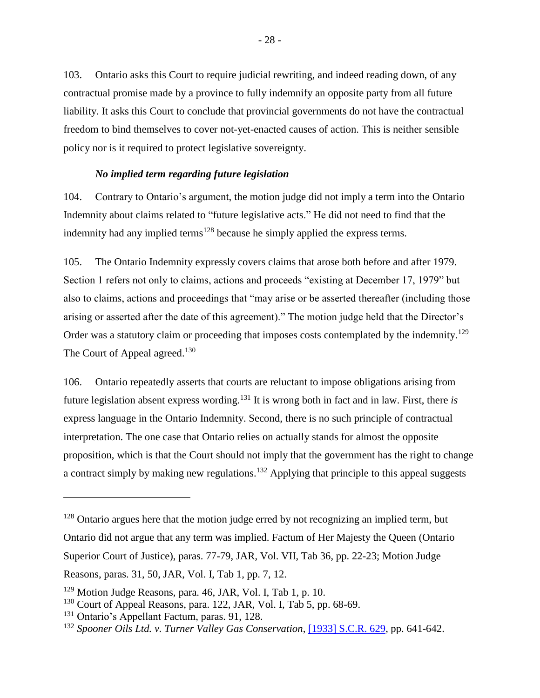103. Ontario asks this Court to require judicial rewriting, and indeed reading down, of any contractual promise made by a province to fully indemnify an opposite party from all future liability. It asks this Court to conclude that provincial governments do not have the contractual freedom to bind themselves to cover not-yet-enacted causes of action. This is neither sensible policy nor is it required to protect legislative sovereignty.

#### *No implied term regarding future legislation*

<span id="page-31-0"></span>104. Contrary to Ontario's argument, the motion judge did not imply a term into the Ontario Indemnity about claims related to "future legislative acts." He did not need to find that the indemnity had any implied terms<sup>128</sup> because he simply applied the express terms.

105. The Ontario Indemnity expressly covers claims that arose both before and after 1979. Section 1 refers not only to claims, actions and proceeds "existing at December 17, 1979" but also to claims, actions and proceedings that "may arise or be asserted thereafter (including those arising or asserted after the date of this agreement)." The motion judge held that the Director's Order was a statutory claim or proceeding that imposes costs contemplated by the indemnity.<sup>129</sup> The Court of Appeal agreed.<sup>130</sup>

106. Ontario repeatedly asserts that courts are reluctant to impose obligations arising from future legislation absent express wording.<sup>131</sup> It is wrong both in fact and in law. First, there *is* express language in the Ontario Indemnity. Second, there is no such principle of contractual interpretation. The one case that Ontario relies on actually stands for almost the opposite proposition, which is that the Court should not imply that the government has the right to change a contract simply by making new regulations.<sup>132</sup> Applying that principle to this appeal suggests

 $128$  Ontario argues here that the motion judge erred by not recognizing an implied term, but Ontario did not argue that any term was implied. Factum of Her Majesty the Queen (Ontario Superior Court of Justice), paras. 77-79, JAR, Vol. VII, Tab 36, pp. 22-23; Motion Judge Reasons, paras. 31, 50, JAR, Vol. I, Tab 1, pp. 7, 12.

<sup>129</sup> Motion Judge Reasons, para. 46, JAR, Vol. I, Tab 1, p. 10.

 $130$  Court of Appeal Reasons, para. 122, JAR, Vol. I, Tab 5, pp. 68-69.

<sup>131</sup> Ontario's Appellant Factum, paras. 91, 128.

<sup>132</sup> *Spooner Oils Ltd. v. Turner Valley Gas Conservation*, [\[1933\] S.C.R.](https://www.canlii.org/en/ca/scc/doc/1933/1933canlii86/1933canlii86.html?autocompleteStr=spooner%20&autocompletePos=1) 629, pp. 641-642.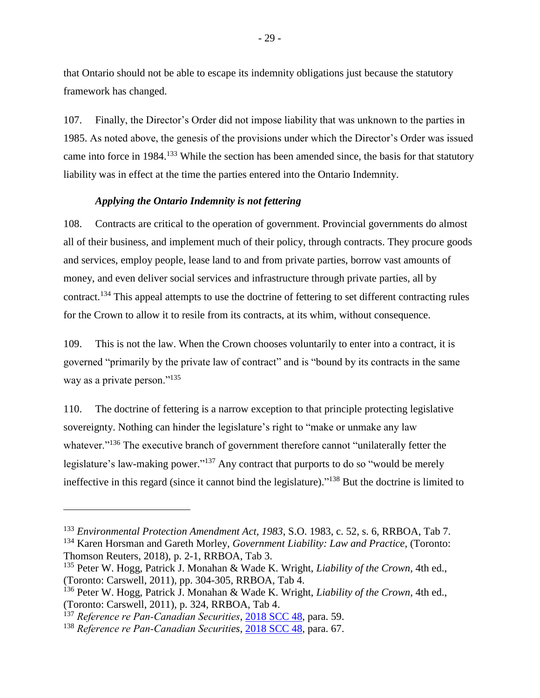that Ontario should not be able to escape its indemnity obligations just because the statutory framework has changed.

107. Finally, the Director's Order did not impose liability that was unknown to the parties in 1985. As noted above, the genesis of the provisions under which the Director's Order was issued came into force in 1984.<sup>133</sup> While the section has been amended since, the basis for that statutory liability was in effect at the time the parties entered into the Ontario Indemnity.

## *Applying the Ontario Indemnity is not fettering*

<span id="page-32-0"></span>108. Contracts are critical to the operation of government. Provincial governments do almost all of their business, and implement much of their policy, through contracts. They procure goods and services, employ people, lease land to and from private parties, borrow vast amounts of money, and even deliver social services and infrastructure through private parties, all by contract.<sup>134</sup> This appeal attempts to use the doctrine of fettering to set different contracting rules for the Crown to allow it to resile from its contracts, at its whim, without consequence.

109. This is not the law. When the Crown chooses voluntarily to enter into a contract, it is governed "primarily by the private law of contract" and is "bound by its contracts in the same way as a private person."<sup>135</sup>

110. The doctrine of fettering is a narrow exception to that principle protecting legislative sovereignty. Nothing can hinder the legislature's right to "make or unmake any law whatever."<sup>136</sup> The executive branch of government therefore cannot "unilaterally fetter the legislature's law-making power."<sup>137</sup> Any contract that purports to do so "would be merely ineffective in this regard (since it cannot bind the legislature)." <sup>138</sup> But the doctrine is limited to

<sup>133</sup> *Environmental Protection Amendment Act, 1983*, S.O. 1983, c. 52, s. 6, RRBOA, Tab 7. <sup>134</sup> Karen Horsman and Gareth Morley, *Government Liability: Law and Practice*, (Toronto:

Thomson Reuters, 2018), p. 2-1, RRBOA, Tab 3.

<sup>135</sup> Peter W. Hogg, Patrick J. Monahan & Wade K. Wright, *Liability of the Crown*, 4th ed., (Toronto: Carswell, 2011), pp. 304-305, RRBOA, Tab 4.

<sup>136</sup> Peter W. Hogg, Patrick J. Monahan & Wade K. Wright, *Liability of the Crown*, 4th ed., (Toronto: Carswell, 2011), p. 324, RRBOA, Tab 4.

<sup>137</sup> *Reference re Pan‑Canadian Securities*, [2018 SCC 48,](https://www.canlii.org/en/ca/scc/doc/2018/2018scc48/2018scc48.html?autocompleteStr=2018%20SCC%2048&autocompletePos=1) para. 59.

<sup>138</sup> *Reference re Pan‑Canadian Securities*, [2018 SCC 48,](https://www.canlii.org/en/ca/scc/doc/2018/2018scc48/2018scc48.html?autocompleteStr=2018%20SCC%2048&autocompletePos=1) para. 67.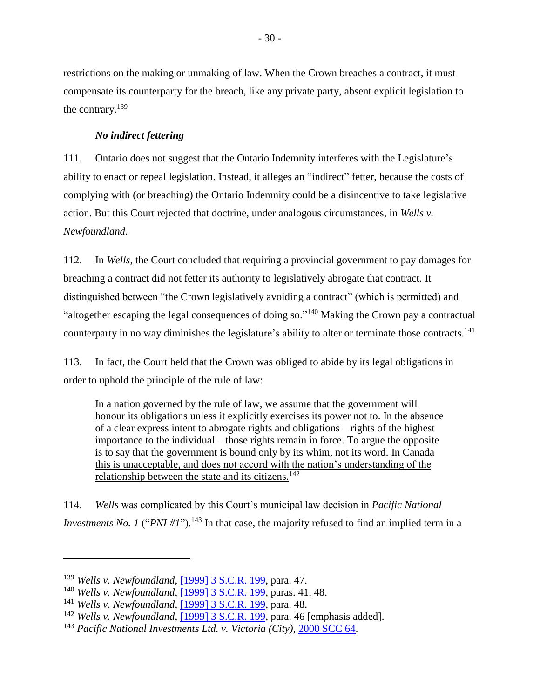restrictions on the making or unmaking of law. When the Crown breaches a contract, it must compensate its counterparty for the breach, like any private party, absent explicit legislation to the contrary.<sup>139</sup>

## *No indirect fettering*

<span id="page-33-0"></span>111. Ontario does not suggest that the Ontario Indemnity interferes with the Legislature's ability to enact or repeal legislation. Instead, it alleges an "indirect" fetter, because the costs of complying with (or breaching) the Ontario Indemnity could be a disincentive to take legislative action. But this Court rejected that doctrine, under analogous circumstances, in *Wells v. Newfoundland*.

112. In *Wells*, the Court concluded that requiring a provincial government to pay damages for breaching a contract did not fetter its authority to legislatively abrogate that contract. It distinguished between "the Crown legislatively avoiding a contract" (which is permitted) and "altogether escaping the legal consequences of doing so."<sup>140</sup> Making the Crown pay a contractual counterparty in no way diminishes the legislature's ability to alter or terminate those contracts.<sup>141</sup>

113. In fact, the Court held that the Crown was obliged to abide by its legal obligations in order to uphold the principle of the rule of law:

In a nation governed by the rule of law, we assume that the government will honour its obligations unless it explicitly exercises its power not to. In the absence of a clear express intent to abrogate rights and obligations – rights of the highest importance to the individual – those rights remain in force. To argue the opposite is to say that the government is bound only by its whim, not its word. In Canada this is unacceptable, and does not accord with the nation's understanding of the relationship between the state and its citizens.<sup>142</sup>

114. *Wells* was complicated by this Court's municipal law decision in *Pacific National Investments No. 1* ("*PNI #1*").<sup>143</sup> In that case, the majority refused to find an implied term in a

<sup>139</sup> *Wells v. Newfoundland*, [\[1999\] 3 S.C.R.](https://www.canlii.org/en/ca/scc/doc/1999/1999canlii657/1999canlii657.html?autocompleteStr=wells%20v%20new&autocompletePos=1) 199, para. 47.

<sup>140</sup> *Wells v. Newfoundland*, [\[1999\] 3 S.C.R.](https://www.canlii.org/en/ca/scc/doc/1999/1999canlii657/1999canlii657.html?autocompleteStr=wells%20v%20new&autocompletePos=1) 199, paras. 41, 48.

<sup>141</sup> *Wells v. Newfoundland*, [\[1999\] 3 S.C.R.](https://www.canlii.org/en/ca/scc/doc/1999/1999canlii657/1999canlii657.html?autocompleteStr=wells%20v%20new&autocompletePos=1) 199, para. 48.

<sup>142</sup> *Wells v. Newfoundland*, [\[1999\] 3 S.C.R.](https://www.canlii.org/en/ca/scc/doc/1999/1999canlii657/1999canlii657.html?autocompleteStr=wells%20v%20new&autocompletePos=1) 199, para. 46 [emphasis added].

<sup>143</sup> *Pacific National Investments Ltd. v. Victoria (City)*, [2000 SCC 64.](https://www.canlii.org/en/ca/scc/doc/2000/2000scc64/2000scc64.html?autocompleteStr=2000%20scc%2064%20&autocompletePos=1)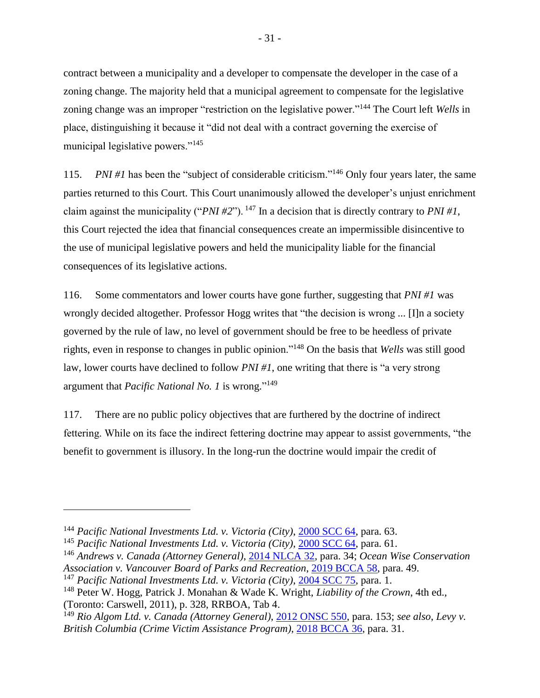contract between a municipality and a developer to compensate the developer in the case of a zoning change. The majority held that a municipal agreement to compensate for the legislative zoning change was an improper "restriction on the legislative power."<sup>144</sup> The Court left *Wells* in place, distinguishing it because it "did not deal with a contract governing the exercise of municipal legislative powers."<sup>145</sup>

115. *PNI #1* has been the "subject of considerable criticism."<sup>146</sup> Only four years later, the same parties returned to this Court. This Court unanimously allowed the developer's unjust enrichment claim against the municipality ("*PNI #2*"). <sup>147</sup> In a decision that is directly contrary to *PNI #1*, this Court rejected the idea that financial consequences create an impermissible disincentive to the use of municipal legislative powers and held the municipality liable for the financial consequences of its legislative actions.

116. Some commentators and lower courts have gone further, suggesting that *PNI #1* was wrongly decided altogether. Professor Hogg writes that "the decision is wrong ... [I]n a society governed by the rule of law, no level of government should be free to be heedless of private rights, even in response to changes in public opinion."<sup>148</sup> On the basis that *Wells* was still good law, lower courts have declined to follow *PNI #1*, one writing that there is "a very strong argument that *Pacific National No. 1* is wrong." 149

117. There are no public policy objectives that are furthered by the doctrine of indirect fettering. While on its face the indirect fettering doctrine may appear to assist governments, "the benefit to government is illusory. In the long-run the doctrine would impair the credit of

<sup>144</sup> *Pacific National Investments Ltd. v. Victoria (City)*, [2000 SCC 64,](https://www.canlii.org/en/ca/scc/doc/2000/2000scc64/2000scc64.html?autocompleteStr=2000%20scc%2064%20&autocompletePos=1) para. 63.

<sup>145</sup> *Pacific National Investments Ltd. v. Victoria (City)*, [2000 SCC 64,](https://www.canlii.org/en/ca/scc/doc/2000/2000scc64/2000scc64.html?autocompleteStr=2000%20scc%2064%20&autocompletePos=1) para. 61.

<sup>146</sup> *Andrews v. Canada (Attorney General)*, [2014 NLCA 32,](https://www.canlii.org/en/nl/nlca/doc/2014/2014nlca32/2014nlca32.html?autocompleteStr=2014%20NLCA%2032&autocompletePos=1) para. 34; *Ocean Wise Conservation Association v. Vancouver Board of Parks and Recreation*, [2019 BCCA 58,](http://canlii.ca/t/hxl6g) para. 49.

<sup>147</sup> *Pacific National Investments Ltd. v. Victoria (City)*, [2004 SCC 75,](https://www.canlii.org/en/ca/scc/doc/2004/2004scc75/2004scc75.html?autocompleteStr=%202004%20SCC%2075&autocompletePos=1) para. 1.

<sup>148</sup> Peter W. Hogg, Patrick J. Monahan & Wade K. Wright, *Liability of the Crown*, 4th ed., (Toronto: Carswell, 2011), p. 328, RRBOA, Tab 4.

<sup>149</sup> *Rio Algom Ltd. v. Canada (Attorney General)*, [2012 ONSC 550,](https://www.canlii.org/en/on/onsc/doc/2012/2012onsc550/2012onsc550.html?autocompleteStr=2012%20ONSC%20550&autocompletePos=1) para. 153; *see also*, *Levy v. British Columbia (Crime Victim Assistance Program)*, [2018 BCCA 36,](https://www.canlii.org/en/bc/bcca/doc/2018/2018bcca36/2018bcca36.html?resultIndex=1) para. 31.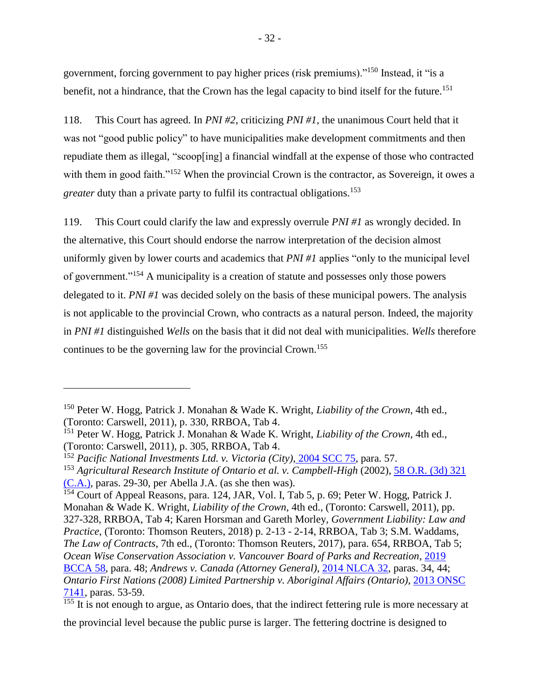government, forcing government to pay higher prices (risk premiums)."<sup>150</sup> Instead, it "is a benefit, not a hindrance, that the Crown has the legal capacity to bind itself for the future.<sup>151</sup>

118. This Court has agreed. In *PNI #2*, criticizing *PNI #1*, the unanimous Court held that it was not "good public policy" to have municipalities make development commitments and then repudiate them as illegal, "scoop[ing] a financial windfall at the expense of those who contracted with them in good faith."<sup>152</sup> When the provincial Crown is the contractor, as Sovereign, it owes a *greater* duty than a private party to fulfil its contractual obligations.<sup>153</sup>

119. This Court could clarify the law and expressly overrule *PNI #1* as wrongly decided. In the alternative, this Court should endorse the narrow interpretation of the decision almost uniformly given by lower courts and academics that *PNI #1* applies "only to the municipal level of government."<sup>154</sup> A municipality is a creation of statute and possesses only those powers delegated to it. *PNI #1* was decided solely on the basis of these municipal powers. The analysis is not applicable to the provincial Crown, who contracts as a natural person. Indeed, the majority in *PNI #1* distinguished *Wells* on the basis that it did not deal with municipalities. *Wells* therefore continues to be the governing law for the provincial Crown.<sup>155</sup>

 $\overline{a}$ 

the provincial level because the public purse is larger. The fettering doctrine is designed to

<sup>150</sup> Peter W. Hogg, Patrick J. Monahan & Wade K. Wright, *Liability of the Crown*, 4th ed., (Toronto: Carswell, 2011), p. 330, RRBOA, Tab 4.

<sup>151</sup> Peter W. Hogg, Patrick J. Monahan & Wade K. Wright, *Liability of the Crown*, 4th ed., (Toronto: Carswell, 2011), p. 305, RRBOA, Tab 4.

<sup>152</sup> *Pacific National Investments Ltd. v. Victoria (City)*, [2004 SCC 75,](https://www.canlii.org/en/ca/scc/doc/2004/2004scc75/2004scc75.html?autocompleteStr=2004%20SCC%2075&autocompletePos=1) para. 57.

<sup>153</sup> *Agricultural Research Institute of Ontario et al. v. Campbell-High* (2002), [58 O.R. \(3d\) 321](https://www.canlii.org/en/on/onca/doc/2002/2002canlii10432/2002canlii10432.html?autocompleteStr=%2058%20O.R.%20%283d%29%20321%20&autocompletePos=1)  [\(C.A.\),](https://www.canlii.org/en/on/onca/doc/2002/2002canlii10432/2002canlii10432.html?autocompleteStr=%2058%20O.R.%20%283d%29%20321%20&autocompletePos=1) paras. 29-30, per Abella J.A. (as she then was).

<sup>&</sup>lt;sup>154</sup> Court of Appeal Reasons, para. 124, JAR, Vol. I, Tab 5, p. 69; Peter W. Hogg, Patrick J. Monahan & Wade K. Wright, *Liability of the Crown*, 4th ed., (Toronto: Carswell, 2011), pp. 327-328, RRBOA, Tab 4; Karen Horsman and Gareth Morley, *Government Liability: Law and Practice*, (Toronto: Thomson Reuters, 2018) p. 2-13 - 2-14, RRBOA, Tab 3; S.M. Waddams, *The Law of Contracts*, 7th ed., (Toronto: Thomson Reuters, 2017), para. 654, RRBOA, Tab 5; *Ocean Wise Conservation Association v. Vancouver Board of Parks and Recreation*, [2019](http://canlii.ca/t/hxl6g)  [BCCA 58,](http://canlii.ca/t/hxl6g) para. 48; *Andrews v. Canada (Attorney General)*, [2014 NLCA 32,](https://www.canlii.org/en/nl/nlca/doc/2014/2014nlca32/2014nlca32.html?autocompleteStr=2014%20NLCA%2032&autocompletePos=1) paras. 34, 44; *Ontario First Nations (2008) Limited Partnership v. Aboriginal Affairs (Ontario)*, [2013 ONSC](https://www.canlii.org/en/on/onsc/doc/2013/2013onsc7141/2013onsc7141.html?autocompleteStr=2013%20ONSC%207141&autocompletePos=1)  [7141,](https://www.canlii.org/en/on/onsc/doc/2013/2013onsc7141/2013onsc7141.html?autocompleteStr=2013%20ONSC%207141&autocompletePos=1) paras. 53-59.

<sup>&</sup>lt;sup>155</sup> It is not enough to argue, as Ontario does, that the indirect fettering rule is more necessary at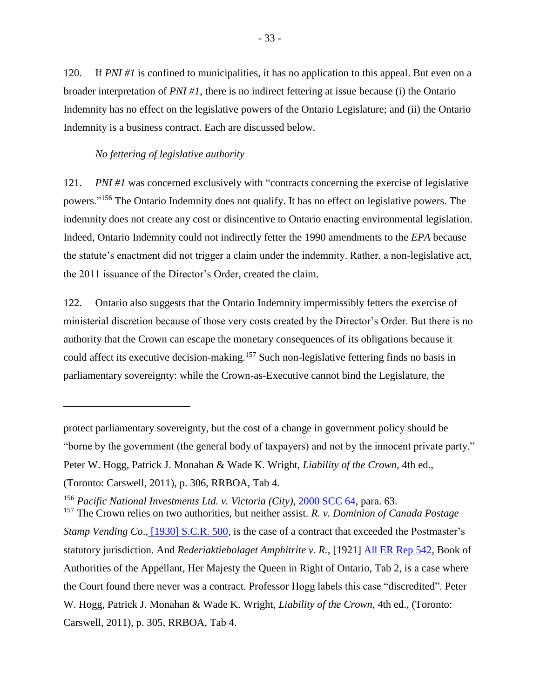120. If *PNI #1* is confined to municipalities, it has no application to this appeal. But even on a broader interpretation of *PNI #1*, there is no indirect fettering at issue because (i) the Ontario Indemnity has no effect on the legislative powers of the Ontario Legislature; and (ii) the Ontario Indemnity is a business contract. Each are discussed below.

#### *No fettering of legislative authority*

 $\overline{a}$ 

<span id="page-36-0"></span>121. *PNI #1* was concerned exclusively with "contracts concerning the exercise of legislative powers."<sup>156</sup> The Ontario Indemnity does not qualify. It has no effect on legislative powers. The indemnity does not create any cost or disincentive to Ontario enacting environmental legislation. Indeed, Ontario Indemnity could not indirectly fetter the 1990 amendments to the *EPA* because the statute's enactment did not trigger a claim under the indemnity. Rather, a non-legislative act, the 2011 issuance of the Director's Order, created the claim.

122. Ontario also suggests that the Ontario Indemnity impermissibly fetters the exercise of ministerial discretion because of those very costs created by the Director's Order. But there is no authority that the Crown can escape the monetary consequences of its obligations because it could affect its executive decision-making.<sup>157</sup> Such non-legislative fettering finds no basis in parliamentary sovereignty: while the Crown-as-Executive cannot bind the Legislature, the

protect parliamentary sovereignty, but the cost of a change in government policy should be "borne by the government (the general body of taxpayers) and not by the innocent private party." Peter W. Hogg, Patrick J. Monahan & Wade K. Wright, *Liability of the Crown*, 4th ed., (Toronto: Carswell, 2011), p. 306, RRBOA, Tab 4.

<sup>156</sup> *Pacific National Investments Ltd. v. Victoria (City)*, [2000 SCC 64,](https://www.canlii.org/en/ca/scc/doc/2000/2000scc64/2000scc64.html?autocompleteStr=2000%20scc%2064%20&autocompletePos=1) para. 63.

<sup>157</sup> The Crown relies on two authorities, but neither assist. *R. v. Dominion of Canada Postage Stamp Vending Co.*, [\[1930\] S.C.R. 500,](https://www.canlii.org/en/ca/scc/doc/1930/1930canlii87/1930canlii87.html?resultIndex=1) is the case of a contract that exceeded the Postmaster's statutory jurisdiction. And *Rederiaktiebolaget Amphitrite v. R.*, [1921] [All ER Rep 542,](https://advance.lexis.com/document/documentlink/?pdmfid=1505209&crid=61d4dde6-32eb-4bc8-bbae-34969403b612&pddocfullpath=%2Fshared%2Fdocument%2Fcases-uk%2Furn%3AcontentItem%3A5PHF-RH81-FK0M-S13J-00000-00&pdcontentcomponentid=279846&pddoctitle=%5B1921%5D+All+ER+Rep+542&pdproductcontenttypeid=urn%3Apct%3A285&pdiskwicview=false&ecomp=7sL5k&prid=3d91ad8f-d42b-48f1-b3a8-08970f3f6f52) Book of Authorities of the Appellant, Her Majesty the Queen in Right of Ontario, Tab 2, is a case where the Court found there never was a contract. Professor Hogg labels this case "discredited". Peter W. Hogg, Patrick J. Monahan & Wade K. Wright, *Liability of the Crown*, 4th ed., (Toronto: Carswell, 2011), p. 305, RRBOA, Tab 4.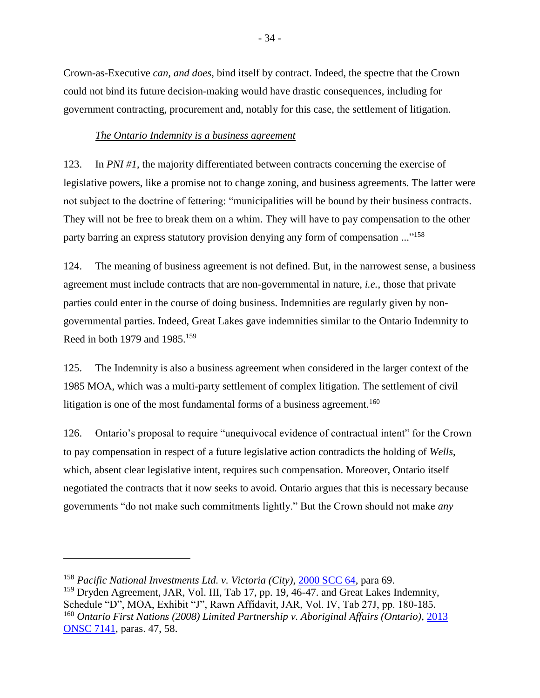Crown-as-Executive *can, and does*, bind itself by contract. Indeed, the spectre that the Crown could not bind its future decision-making would have drastic consequences, including for government contracting, procurement and, notably for this case, the settlement of litigation.

## *The Ontario Indemnity is a business agreement*

<span id="page-37-0"></span>123. In *PNI #1*, the majority differentiated between contracts concerning the exercise of legislative powers, like a promise not to change zoning, and business agreements. The latter were not subject to the doctrine of fettering: "municipalities will be bound by their business contracts. They will not be free to break them on a whim. They will have to pay compensation to the other party barring an express statutory provision denying any form of compensation ..."<sup>158</sup>

124. The meaning of business agreement is not defined. But, in the narrowest sense, a business agreement must include contracts that are non-governmental in nature, *i.e.*, those that private parties could enter in the course of doing business. Indemnities are regularly given by nongovernmental parties. Indeed, Great Lakes gave indemnities similar to the Ontario Indemnity to Reed in both 1979 and 1985.<sup>159</sup>

125. The Indemnity is also a business agreement when considered in the larger context of the 1985 MOA, which was a multi-party settlement of complex litigation. The settlement of civil litigation is one of the most fundamental forms of a business agreement.<sup>160</sup>

126. Ontario's proposal to require "unequivocal evidence of contractual intent" for the Crown to pay compensation in respect of a future legislative action contradicts the holding of *Wells*, which, absent clear legislative intent, requires such compensation. Moreover, Ontario itself negotiated the contracts that it now seeks to avoid. Ontario argues that this is necessary because governments "do not make such commitments lightly." But the Crown should not make *any*

<sup>158</sup> *Pacific National Investments Ltd. v. Victoria (City)*, [2000 SCC 64,](https://www.canlii.org/en/ca/scc/doc/2000/2000scc64/2000scc64.html?autocompleteStr=2000%20scc%2064%20&autocompletePos=1) para 69.

<sup>&</sup>lt;sup>159</sup> Dryden Agreement, JAR, Vol. III, Tab 17, pp. 19, 46-47, and Great Lakes Indemnity, Schedule "D", MOA, Exhibit "J", Rawn Affidavit, JAR, Vol. IV, Tab 27J, pp. 180-185. <sup>160</sup> *Ontario First Nations (2008) Limited Partnership v. Aboriginal Affairs (Ontario)*[, 2013](https://www.canlii.org/en/on/onsc/doc/2013/2013onsc7141/2013onsc7141.html?autocompleteStr=2013%20ONSC%207141&autocompletePos=1)  [ONSC 7141,](https://www.canlii.org/en/on/onsc/doc/2013/2013onsc7141/2013onsc7141.html?autocompleteStr=2013%20ONSC%207141&autocompletePos=1) paras. 47, 58.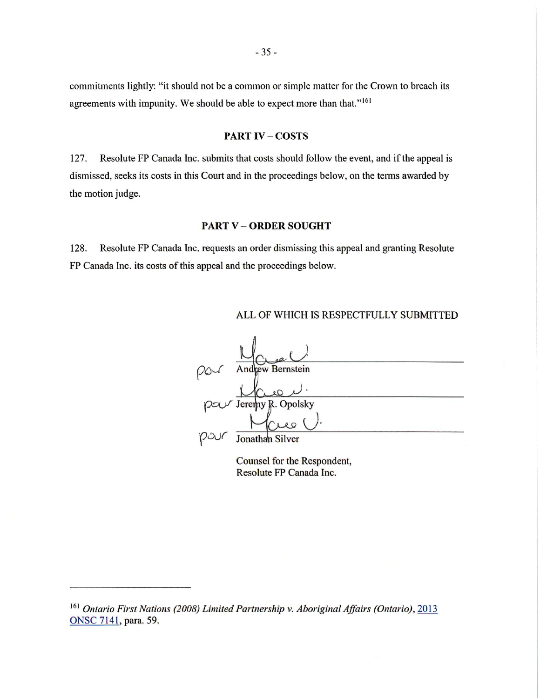commitments lightly: "it should not be a common or simple matter for the Crown to breach its agreements with impunity. We should be able to expect more than that."<sup>161</sup>

#### **PART IV-COSTS**

127. Resolute FP Canada Inc. submits that costs should follow the event, and if the appeal is dismissed, seeks its costs in this Court and in the proceedings below, on the terms awarded by the motion judge.

#### **PART V - ORDER SOUGHT**

128. Resolute FP Canada Inc. requests an order dismissing this appeal and granting Resolute FP Canada Inc. its costs of this appeal and the proceedings below.

#### ALL OF WHICH IS RESPECTFULLY SUBMITTED



Counsel for the Respondent, Resolute FP Canada Inc.

<sup>&</sup>lt;sup>161</sup> Ontario First Nations (2008) Limited Partnership v. Aboriginal Affairs (Ontario), 2013 ONSC 7141, para. 59.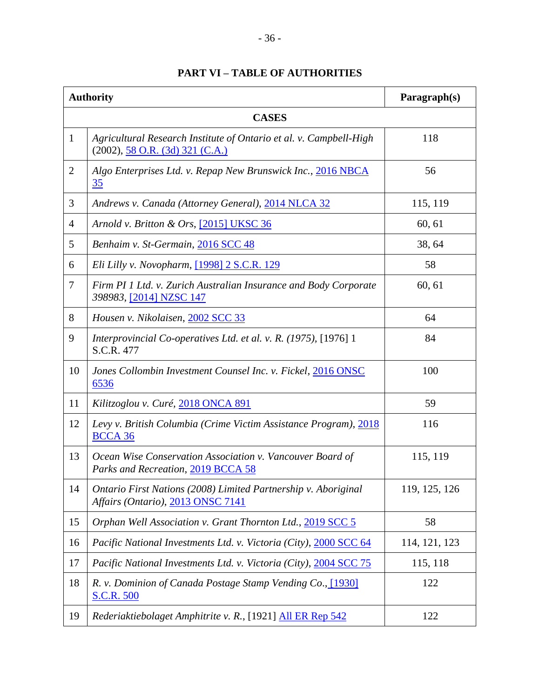| <b>PART VI - TABLE OF AUTHORITIES</b> |
|---------------------------------------|
|---------------------------------------|

<span id="page-39-0"></span>

| <b>Authority</b> |                                                                                                           | Paragraph(s)  |  |  |
|------------------|-----------------------------------------------------------------------------------------------------------|---------------|--|--|
| <b>CASES</b>     |                                                                                                           |               |  |  |
| $\mathbf{1}$     | Agricultural Research Institute of Ontario et al. v. Campbell-High<br>$(2002), 58$ O.R. $(3d)$ 321 (C.A.) | 118           |  |  |
| $\overline{2}$   | Algo Enterprises Ltd. v. Repap New Brunswick Inc., 2016 NBCA<br>35                                        | 56            |  |  |
| 3                | Andrews v. Canada (Attorney General), 2014 NLCA 32                                                        | 115, 119      |  |  |
| $\overline{4}$   | Arnold v. Britton & Ors, [2015] UKSC 36                                                                   | 60, 61        |  |  |
| 5                | Benhaim v. St-Germain, 2016 SCC 48                                                                        | 38, 64        |  |  |
| 6                | Eli Lilly v. Novopharm, [1998] 2 S.C.R. 129                                                               | 58            |  |  |
| $\overline{7}$   | Firm PI 1 Ltd. v. Zurich Australian Insurance and Body Corporate<br>398983, [2014] NZSC 147               | 60, 61        |  |  |
| 8                | Housen v. Nikolaisen, 2002 SCC 33                                                                         | 64            |  |  |
| 9                | Interprovincial Co-operatives Ltd. et al. v. R. (1975), [1976] 1<br>S.C.R. 477                            | 84            |  |  |
| 10               | Jones Collombin Investment Counsel Inc. v. Fickel, 2016 ONSC<br>6536                                      | 100           |  |  |
| 11               | Kilitzoglou v. Curé, 2018 ONCA 891                                                                        | 59            |  |  |
| 12               | Levy v. British Columbia (Crime Victim Assistance Program), 2018<br><b>BCCA 36</b>                        | 116           |  |  |
| 13               | Ocean Wise Conservation Association v. Vancouver Board of<br>Parks and Recreation, 2019 BCCA 58           | 115, 119      |  |  |
| 14               | Ontario First Nations (2008) Limited Partnership v. Aboriginal<br>Affairs (Ontario), 2013 ONSC 7141       | 119, 125, 126 |  |  |
| 15               | Orphan Well Association v. Grant Thornton Ltd., 2019 SCC 5                                                | 58            |  |  |
| 16               | Pacific National Investments Ltd. v. Victoria (City), 2000 SCC 64                                         | 114, 121, 123 |  |  |
| 17               | Pacific National Investments Ltd. v. Victoria (City), 2004 SCC 75                                         | 115, 118      |  |  |
| 18               | R. v. Dominion of Canada Postage Stamp Vending Co., [1930]<br><b>S.C.R. 500</b>                           | 122           |  |  |
| 19               | Rederiaktiebolaget Amphitrite v. R., [1921] All ER Rep 542                                                | 122           |  |  |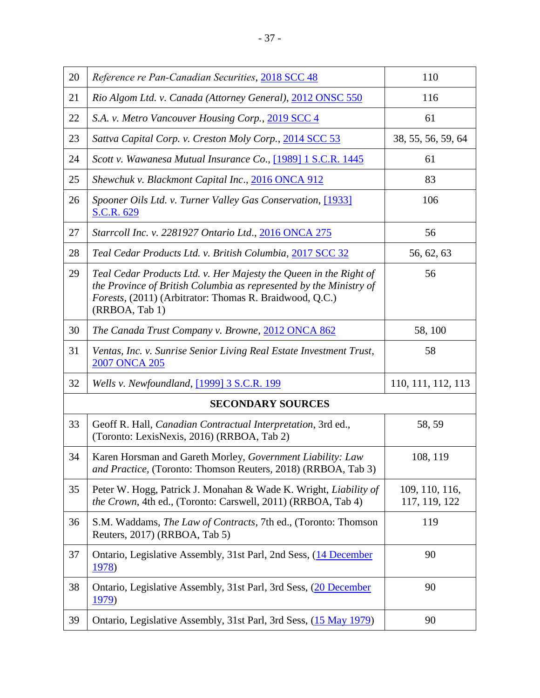| 20                       | Reference re Pan-Canadian Securities, 2018 SCC 48                                                                                                                                                                    | 110                             |  |  |
|--------------------------|----------------------------------------------------------------------------------------------------------------------------------------------------------------------------------------------------------------------|---------------------------------|--|--|
| 21                       | Rio Algom Ltd. v. Canada (Attorney General), 2012 ONSC 550                                                                                                                                                           | 116                             |  |  |
| 22                       | S.A. v. Metro Vancouver Housing Corp., 2019 SCC 4                                                                                                                                                                    | 61                              |  |  |
| 23                       | Sattva Capital Corp. v. Creston Moly Corp., 2014 SCC 53                                                                                                                                                              | 38, 55, 56, 59, 64              |  |  |
| 24                       | Scott v. Wawanesa Mutual Insurance Co., [1989] 1 S.C.R. 1445                                                                                                                                                         | 61                              |  |  |
| 25                       | Shewchuk v. Blackmont Capital Inc., 2016 ONCA 912                                                                                                                                                                    | 83                              |  |  |
| 26                       | Spooner Oils Ltd. v. Turner Valley Gas Conservation, [1933]<br>S.C.R. 629                                                                                                                                            | 106                             |  |  |
| 27                       | Starrcoll Inc. v. 2281927 Ontario Ltd., 2016 ONCA 275                                                                                                                                                                | 56                              |  |  |
| 28                       | Teal Cedar Products Ltd. v. British Columbia, 2017 SCC 32                                                                                                                                                            | 56, 62, 63                      |  |  |
| 29                       | Teal Cedar Products Ltd. v. Her Majesty the Queen in the Right of<br>the Province of British Columbia as represented by the Ministry of<br>Forests, (2011) (Arbitrator: Thomas R. Braidwood, Q.C.)<br>(RRBOA, Tab 1) | 56                              |  |  |
| 30                       | The Canada Trust Company v. Browne, 2012 ONCA 862                                                                                                                                                                    | 58, 100                         |  |  |
| 31                       | Ventas, Inc. v. Sunrise Senior Living Real Estate Investment Trust,<br>2007 ONCA 205                                                                                                                                 | 58                              |  |  |
| 32                       | Wells v. Newfoundland, [1999] 3 S.C.R. 199                                                                                                                                                                           | 110, 111, 112, 113              |  |  |
| <b>SECONDARY SOURCES</b> |                                                                                                                                                                                                                      |                                 |  |  |
| 33                       | Geoff R. Hall, Canadian Contractual Interpretation, 3rd ed.,<br>(Toronto: LexisNexis, 2016) (RRBOA, Tab 2)                                                                                                           | 58, 59                          |  |  |
| 34                       | Karen Horsman and Gareth Morley, Government Liability: Law<br>and Practice, (Toronto: Thomson Reuters, 2018) (RRBOA, Tab 3)                                                                                          | 108, 119                        |  |  |
| 35                       | Peter W. Hogg, Patrick J. Monahan & Wade K. Wright, Liability of<br>the Crown, 4th ed., (Toronto: Carswell, 2011) (RRBOA, Tab 4)                                                                                     | 109, 110, 116,<br>117, 119, 122 |  |  |
| 36                       | S.M. Waddams, The Law of Contracts, 7th ed., (Toronto: Thomson<br>Reuters, 2017) (RRBOA, Tab 5)                                                                                                                      | 119                             |  |  |
| 37                       | Ontario, Legislative Assembly, 31st Parl, 2nd Sess, (14 December<br><u>1978</u> )                                                                                                                                    | 90                              |  |  |
| 38                       | Ontario, Legislative Assembly, 31st Parl, 3rd Sess, (20 December<br><u>1979</u> )                                                                                                                                    | 90                              |  |  |
| 39                       | Ontario, Legislative Assembly, 31st Parl, 3rd Sess, (15 May 1979)                                                                                                                                                    | 90                              |  |  |